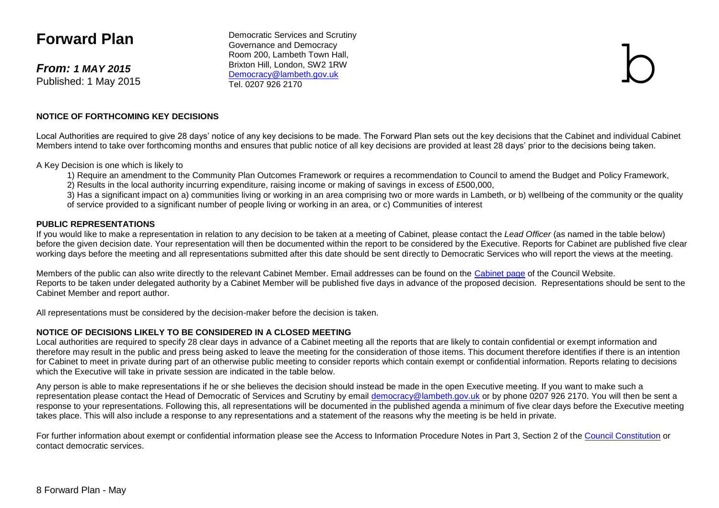# **Forward Plan**

*From: 1 MAY 2015* Published: 1 May 2015

Democratic Services and Scrutiny Governance and Democracy Room 200, Lambeth Town Hall, Brixton Hill, London, SW2 1RW [Democracy@lambeth.gov.uk](mailto:Democracy@lambeth.gov.uk)<br>Tel 0207 926 2170 Democratic Services and Scrutiny<br>Governance and Democracy<br>Room 200, Lambeth Town Hall,<br>Brixton Hill, London, SW2 1RW<br><u>Democracy@lambeth.gov.uk</u><br>Tel. 0207 926 2170



#### **NOTICE OF FORTHCOMING KEY DECISIONS**

Local Authorities are required to give 28 days' notice of any key decisions to be made. The Forward Plan sets out the key decisions that the Cabinet and individual Cabinet Members intend to take over forthcoming months and ensures that public notice of all key decisions are provided at least 28 days' prior to the decisions being taken.

A Key Decision is one which is likely to

- 1) Require an amendment to the Community Plan Outcomes Framework or requires a recommendation to Council to amend the Budget and Policy Framework,
- 2) Results in the local authority incurring expenditure, raising income or making of savings in excess of £500,000,

3) Has a significant impact on a) communities living or working in an area comprising two or more wards in Lambeth, or b) wellbeing of the community or the quality of service provided to a significant number of people living or working in an area, or c) Communities of interest

#### **PUBLIC REPRESENTATIONS**

If you would like to make a representation in relation to any decision to be taken at a meeting of Cabinet, please contact the *Lead Officer* (as named in the table below) before the given decision date. Your representation will then be documented within the report to be considered by the Executive. Reports for Cabinet are published five clear working days before the meeting and all representations submitted after this date should be sent directly to Democratic Services who will report the views at the meeting.

Members of the public can also write directly to the relevant Cabinet Member. Email addresses can be found on the [Cabinet page](http://www.lambeth.gov.uk/elections-and-council/councillors/the-mayor-the-leader-of-the-council-and-cabinet-members-guide#the-cabinet) of the Council Website. Reports to be taken under delegated authority by a Cabinet Member will be published five days in advance of the proposed decision. Representations should be sent to the Cabinet Member and report author.

All representations must be considered by the decision-maker before the decision is taken.

#### **NOTICE OF DECISIONS LIKELY TO BE CONSIDERED IN A CLOSED MEETING**

Local authorities are required to specify 28 clear days in advance of a Cabinet meeting all the reports that are likely to contain confidential or exempt information and therefore may result in the public and press being asked to leave the meeting for the consideration of those items. This document therefore identifies if there is an intention for Cabinet to meet in private during part of an otherwise public meeting to consider reports which contain exempt or confidential information. Reports relating to decisions which the Executive will take in private session are indicated in the table below.

Any person is able to make representations if he or she believes the decision should instead be made in the open Executive meeting. If you want to make such a representation please contact the Head of Democratic of Services and Scrutiny by email [democracy@lambeth.gov.uk](mailto:democracy@lambeth.gov.uk) or by phone 0207 926 2170. You will then be sent a response to your representations. Following this, all representations will be documented in the published agenda a minimum of five clear days before the Executive meeting takes place. This will also include a response to any representations and a statement of the reasons why the meeting is be held in private.

For further information about exempt or confidential information please see the Access to Information Procedure Notes in Part 3, Section 2 of the [Council Constitution](http://www.lambeth.gov.uk/sites/default/files/ec-Council-Constitution-2014-15-approved-with-changes-November-2014.pdf) or contact democratic services.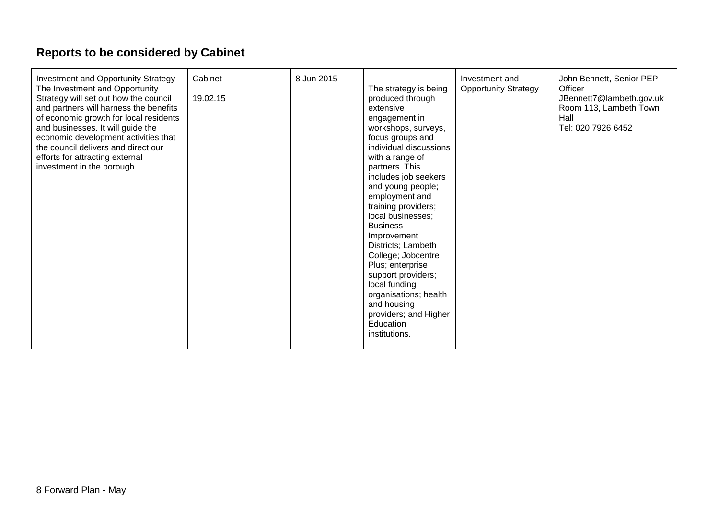# **Reports to be considered by Cabinet**

| Investment and Opportunity Strategy<br>The Investment and Opportunity<br>Strategy will set out how the council<br>and partners will harness the benefits<br>of economic growth for local residents<br>and businesses. It will guide the<br>economic development activities that<br>the council delivers and direct our<br>efforts for attracting external<br>investment in the borough. | Cabinet<br>19.02.15 | 8 Jun 2015 | The strategy is being<br>produced through<br>extensive<br>engagement in<br>workshops, surveys,<br>focus groups and<br>individual discussions<br>with a range of<br>partners. This<br>includes job seekers<br>and young people;<br>employment and<br>training providers;<br>local businesses;<br><b>Business</b><br>Improvement<br>Districts; Lambeth<br>College; Jobcentre<br>Plus; enterprise<br>support providers;<br>local funding<br>organisations; health<br>and housing<br>providers; and Higher<br>Education<br>institutions. | Investment and<br><b>Opportunity Strategy</b> | John Bennett, Senior PEP<br>Officer<br>JBennett7@lambeth.gov.uk<br>Room 113, Lambeth Town<br>Hall<br>Tel: 020 7926 6452 |
|-----------------------------------------------------------------------------------------------------------------------------------------------------------------------------------------------------------------------------------------------------------------------------------------------------------------------------------------------------------------------------------------|---------------------|------------|--------------------------------------------------------------------------------------------------------------------------------------------------------------------------------------------------------------------------------------------------------------------------------------------------------------------------------------------------------------------------------------------------------------------------------------------------------------------------------------------------------------------------------------|-----------------------------------------------|-------------------------------------------------------------------------------------------------------------------------|
|-----------------------------------------------------------------------------------------------------------------------------------------------------------------------------------------------------------------------------------------------------------------------------------------------------------------------------------------------------------------------------------------|---------------------|------------|--------------------------------------------------------------------------------------------------------------------------------------------------------------------------------------------------------------------------------------------------------------------------------------------------------------------------------------------------------------------------------------------------------------------------------------------------------------------------------------------------------------------------------------|-----------------------------------------------|-------------------------------------------------------------------------------------------------------------------------|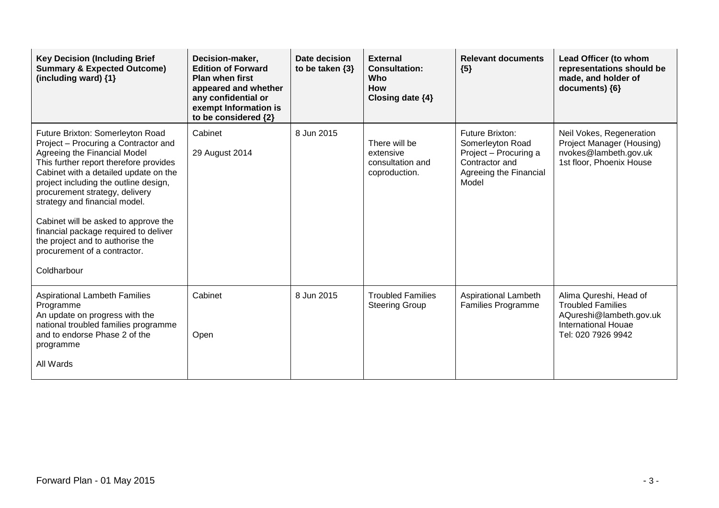| <b>Key Decision (Including Brief</b><br><b>Summary &amp; Expected Outcome)</b><br>(including ward) {1}                                                                                                                                                                                                                                                                                                                                                                      | Decision-maker,<br><b>Edition of Forward</b><br><b>Plan when first</b><br>appeared and whether<br>any confidential or<br>exempt Information is<br>to be considered {2} | Date decision<br>to be taken $\{3\}$ | <b>External</b><br><b>Consultation:</b><br><b>Who</b><br><b>How</b><br>Closing date $\{4\}$ | <b>Relevant documents</b><br>${5}$                                                                                       | Lead Officer (to whom<br>representations should be<br>made, and holder of<br>documents) {6}                                       |
|-----------------------------------------------------------------------------------------------------------------------------------------------------------------------------------------------------------------------------------------------------------------------------------------------------------------------------------------------------------------------------------------------------------------------------------------------------------------------------|------------------------------------------------------------------------------------------------------------------------------------------------------------------------|--------------------------------------|---------------------------------------------------------------------------------------------|--------------------------------------------------------------------------------------------------------------------------|-----------------------------------------------------------------------------------------------------------------------------------|
| Future Brixton: Somerleyton Road<br>Project - Procuring a Contractor and<br>Agreeing the Financial Model<br>This further report therefore provides<br>Cabinet with a detailed update on the<br>project including the outline design,<br>procurement strategy, delivery<br>strategy and financial model.<br>Cabinet will be asked to approve the<br>financial package required to deliver<br>the project and to authorise the<br>procurement of a contractor.<br>Coldharbour | Cabinet<br>29 August 2014                                                                                                                                              | 8 Jun 2015                           | There will be<br>extensive<br>consultation and<br>coproduction.                             | <b>Future Brixton:</b><br>Somerleyton Road<br>Project - Procuring a<br>Contractor and<br>Agreeing the Financial<br>Model | Neil Vokes, Regeneration<br>Project Manager (Housing)<br>nvokes@lambeth.gov.uk<br>1st floor, Phoenix House                        |
| <b>Aspirational Lambeth Families</b><br>Programme<br>An update on progress with the<br>national troubled families programme<br>and to endorse Phase 2 of the<br>programme<br>All Wards                                                                                                                                                                                                                                                                                      | Cabinet<br>Open                                                                                                                                                        | 8 Jun 2015                           | <b>Troubled Families</b><br><b>Steering Group</b>                                           | Aspirational Lambeth<br><b>Families Programme</b>                                                                        | Alima Qureshi, Head of<br><b>Troubled Families</b><br>AQureshi@lambeth.gov.uk<br><b>International Houae</b><br>Tel: 020 7926 9942 |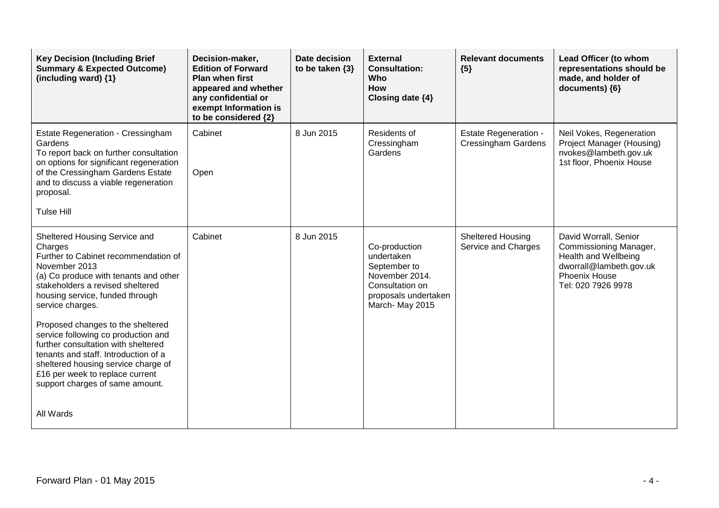| <b>Key Decision (Including Brief</b><br><b>Summary &amp; Expected Outcome)</b><br>(including ward) $\{1\}$                                                                                                                                                                                                                                                                                                                                                                                                    | Decision-maker,<br><b>Edition of Forward</b><br><b>Plan when first</b><br>appeared and whether<br>any confidential or<br>exempt Information is<br>to be considered {2} | Date decision<br>to be taken $\{3\}$ | <b>External</b><br><b>Consultation:</b><br><b>Who</b><br><b>How</b><br>Closing date {4}                                    | <b>Relevant documents</b><br>${5}$                         | Lead Officer (to whom<br>representations should be<br>made, and holder of<br>documents) {6}                                               |
|---------------------------------------------------------------------------------------------------------------------------------------------------------------------------------------------------------------------------------------------------------------------------------------------------------------------------------------------------------------------------------------------------------------------------------------------------------------------------------------------------------------|------------------------------------------------------------------------------------------------------------------------------------------------------------------------|--------------------------------------|----------------------------------------------------------------------------------------------------------------------------|------------------------------------------------------------|-------------------------------------------------------------------------------------------------------------------------------------------|
| Estate Regeneration - Cressingham<br>Gardens<br>To report back on further consultation<br>on options for significant regeneration<br>of the Cressingham Gardens Estate<br>and to discuss a viable regeneration<br>proposal.<br><b>Tulse Hill</b>                                                                                                                                                                                                                                                              | Cabinet<br>Open                                                                                                                                                        | 8 Jun 2015                           | Residents of<br>Cressingham<br>Gardens                                                                                     | <b>Estate Regeneration -</b><br><b>Cressingham Gardens</b> | Neil Vokes, Regeneration<br>Project Manager (Housing)<br>nvokes@lambeth.gov.uk<br>1st floor, Phoenix House                                |
| Sheltered Housing Service and<br>Charges<br>Further to Cabinet recommendation of<br>November 2013<br>(a) Co produce with tenants and other<br>stakeholders a revised sheltered<br>housing service, funded through<br>service charges.<br>Proposed changes to the sheltered<br>service following co production and<br>further consultation with sheltered<br>tenants and staff. Introduction of a<br>sheltered housing service charge of<br>£16 per week to replace current<br>support charges of same amount. | Cabinet                                                                                                                                                                | 8 Jun 2015                           | Co-production<br>undertaken<br>September to<br>November 2014.<br>Consultation on<br>proposals undertaken<br>March-May 2015 | Sheltered Housing<br>Service and Charges                   | David Worrall, Senior<br>Commissioning Manager,<br>Health and Wellbeing<br>dworrall@lambeth.gov.uk<br>Phoenix House<br>Tel: 020 7926 9978 |
| All Wards                                                                                                                                                                                                                                                                                                                                                                                                                                                                                                     |                                                                                                                                                                        |                                      |                                                                                                                            |                                                            |                                                                                                                                           |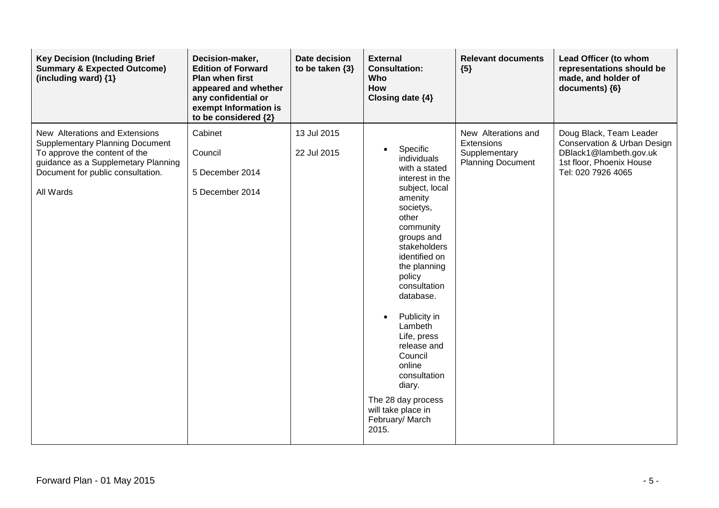| <b>Key Decision (Including Brief</b><br><b>Summary &amp; Expected Outcome)</b><br>(including ward) {1}                                                                                             | Decision-maker,<br><b>Edition of Forward</b><br><b>Plan when first</b><br>appeared and whether<br>any confidential or<br>exempt Information is<br>to be considered {2} | Date decision<br>to be taken $\{3\}$ | <b>External</b><br><b>Consultation:</b><br><b>Who</b><br>How<br>Closing date {4}                                                                                                                                                                                                                                                                                                                                  | <b>Relevant documents</b><br>${5}$                                             | Lead Officer (to whom<br>representations should be<br>made, and holder of<br>documents) {6}                                        |
|----------------------------------------------------------------------------------------------------------------------------------------------------------------------------------------------------|------------------------------------------------------------------------------------------------------------------------------------------------------------------------|--------------------------------------|-------------------------------------------------------------------------------------------------------------------------------------------------------------------------------------------------------------------------------------------------------------------------------------------------------------------------------------------------------------------------------------------------------------------|--------------------------------------------------------------------------------|------------------------------------------------------------------------------------------------------------------------------------|
| New Alterations and Extensions<br><b>Supplementary Planning Document</b><br>To approve the content of the<br>guidance as a Supplemetary Planning<br>Document for public consultation.<br>All Wards | Cabinet<br>Council<br>5 December 2014<br>5 December 2014                                                                                                               | 13 Jul 2015<br>22 Jul 2015           | Specific<br>individuals<br>with a stated<br>interest in the<br>subject, local<br>amenity<br>societys,<br>other<br>community<br>groups and<br>stakeholders<br>identified on<br>the planning<br>policy<br>consultation<br>database.<br>Publicity in<br>Lambeth<br>Life, press<br>release and<br>Council<br>online<br>consultation<br>diary.<br>The 28 day process<br>will take place in<br>February/ March<br>2015. | New Alterations and<br>Extensions<br>Supplementary<br><b>Planning Document</b> | Doug Black, Team Leader<br>Conservation & Urban Design<br>DBlack1@lambeth.gov.uk<br>1st floor, Phoenix House<br>Tel: 020 7926 4065 |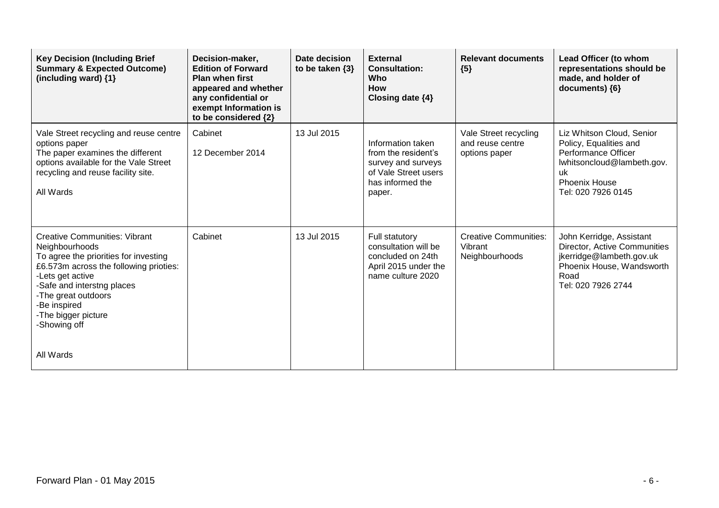| <b>Key Decision (Including Brief</b><br><b>Summary &amp; Expected Outcome)</b><br>(including ward) {1}                                                                                                                                                                    | Decision-maker,<br><b>Edition of Forward</b><br><b>Plan when first</b><br>appeared and whether<br>any confidential or<br>exempt Information is<br>to be considered {2} | Date decision<br>to be taken $\{3\}$ | <b>External</b><br><b>Consultation:</b><br>Who<br><b>How</b><br>Closing date {4}                                     | <b>Relevant documents</b><br>${5}$                         | Lead Officer (to whom<br>representations should be<br>made, and holder of<br>documents) {6}                                                                  |
|---------------------------------------------------------------------------------------------------------------------------------------------------------------------------------------------------------------------------------------------------------------------------|------------------------------------------------------------------------------------------------------------------------------------------------------------------------|--------------------------------------|----------------------------------------------------------------------------------------------------------------------|------------------------------------------------------------|--------------------------------------------------------------------------------------------------------------------------------------------------------------|
| Vale Street recycling and reuse centre<br>options paper<br>The paper examines the different<br>options available for the Vale Street<br>recycling and reuse facility site.<br>All Wards                                                                                   | Cabinet<br>12 December 2014                                                                                                                                            | 13 Jul 2015                          | Information taken<br>from the resident's<br>survey and surveys<br>of Vale Street users<br>has informed the<br>paper. | Vale Street recycling<br>and reuse centre<br>options paper | Liz Whitson Cloud, Senior<br>Policy, Equalities and<br>Performance Officer<br>lwhitsoncloud@lambeth.gov.<br>uk<br><b>Phoenix House</b><br>Tel: 020 7926 0145 |
| <b>Creative Communities: Vibrant</b><br>Neighbourhoods<br>To agree the priorities for investing<br>£6.573m across the following prioties:<br>-Lets get active<br>-Safe and interstng places<br>-The great outdoors<br>-Be inspired<br>-The bigger picture<br>-Showing off | Cabinet                                                                                                                                                                | 13 Jul 2015                          | Full statutory<br>consultation will be<br>concluded on 24th<br>April 2015 under the<br>name culture 2020             | <b>Creative Communities:</b><br>Vibrant<br>Neighbourhoods  | John Kerridge, Assistant<br>Director, Active Communities<br>jkerridge@lambeth.gov.uk<br>Phoenix House, Wandsworth<br>Road<br>Tel: 020 7926 2744              |
| All Wards                                                                                                                                                                                                                                                                 |                                                                                                                                                                        |                                      |                                                                                                                      |                                                            |                                                                                                                                                              |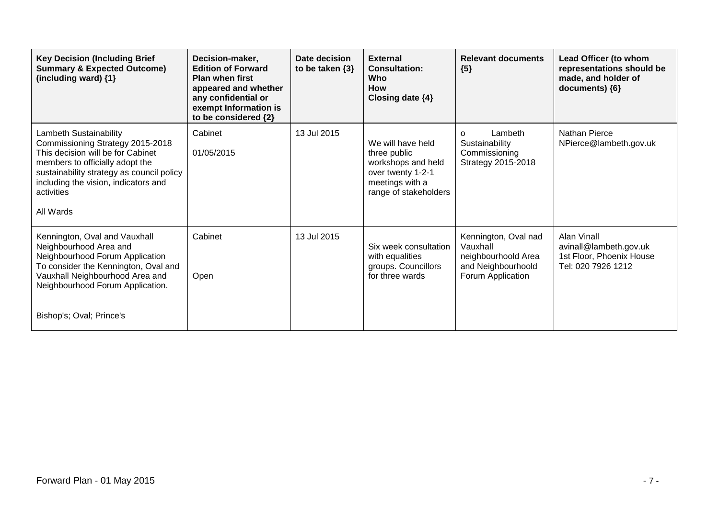| <b>Key Decision (Including Brief</b><br><b>Summary &amp; Expected Outcome)</b><br>(including ward) {1}                                                                                                                                             | Decision-maker,<br><b>Edition of Forward</b><br><b>Plan when first</b><br>appeared and whether<br>any confidential or<br>exempt Information is<br>to be considered {2} | Date decision<br>to be taken $\{3\}$ | <b>External</b><br><b>Consultation:</b><br><b>Who</b><br><b>How</b><br>Closing date $\{4\}$                              | <b>Relevant documents</b><br>${5}$                                                                 | Lead Officer (to whom<br>representations should be<br>made, and holder of<br>documents) {6}    |
|----------------------------------------------------------------------------------------------------------------------------------------------------------------------------------------------------------------------------------------------------|------------------------------------------------------------------------------------------------------------------------------------------------------------------------|--------------------------------------|--------------------------------------------------------------------------------------------------------------------------|----------------------------------------------------------------------------------------------------|------------------------------------------------------------------------------------------------|
| Lambeth Sustainability<br>Commissioning Strategy 2015-2018<br>This decision will be for Cabinet<br>members to officially adopt the<br>sustainability strategy as council policy<br>including the vision, indicators and<br>activities<br>All Wards | Cabinet<br>01/05/2015                                                                                                                                                  | 13 Jul 2015                          | We will have held<br>three public<br>workshops and held<br>over twenty 1-2-1<br>meetings with a<br>range of stakeholders | Lambeth<br>$\Omega$<br>Sustainability<br>Commissioning<br>Strategy 2015-2018                       | <b>Nathan Pierce</b><br>NPierce@lambeth.gov.uk                                                 |
| Kennington, Oval and Vauxhall<br>Neighbourhood Area and<br>Neighbourhood Forum Application<br>To consider the Kennington, Oval and<br>Vauxhall Neighbourhood Area and<br>Neighbourhood Forum Application.<br>Bishop's; Oval; Prince's              | Cabinet<br>Open                                                                                                                                                        | 13 Jul 2015                          | Six week consultation<br>with equalities<br>groups. Councillors<br>for three wards                                       | Kennington, Oval nad<br>Vauxhall<br>neighbourhoold Area<br>and Neighbourhoold<br>Forum Application | <b>Alan Vinall</b><br>avinall@lambeth.gov.uk<br>1st Floor, Phoenix House<br>Tel: 020 7926 1212 |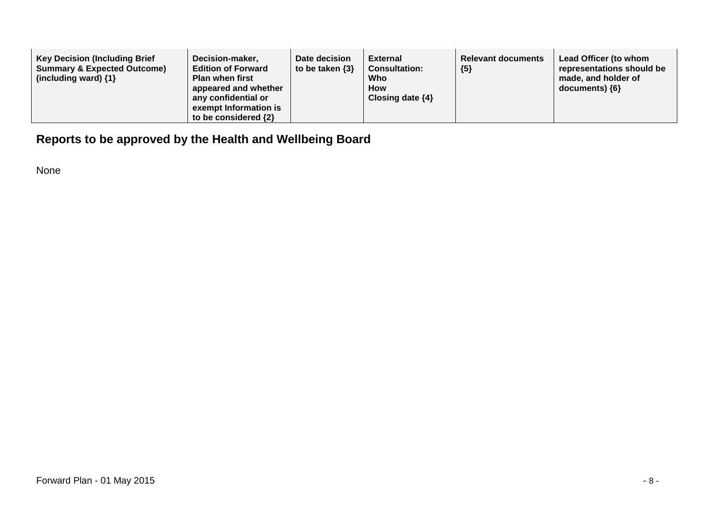| <b>Key Decision (Including Brief</b><br><b>Summary &amp; Expected Outcome)</b><br>(including ward) $\{1\}$ | Decision-maker,<br><b>Edition of Forward</b><br><b>Plan when first</b><br>appeared and whether<br>any confidential or<br>exempt Information is<br>to be considered $\{2\}$ | Date decision<br>to be taken $\{3\}$ | External<br><b>Consultation:</b><br>Who<br><b>How</b><br>Closing date $\{4\}$ | <b>Relevant documents</b><br>${5}$ | Lead Officer (to whom<br>representations should be<br>made, and holder of<br>$documents)$ {6} |
|------------------------------------------------------------------------------------------------------------|----------------------------------------------------------------------------------------------------------------------------------------------------------------------------|--------------------------------------|-------------------------------------------------------------------------------|------------------------------------|-----------------------------------------------------------------------------------------------|
|------------------------------------------------------------------------------------------------------------|----------------------------------------------------------------------------------------------------------------------------------------------------------------------------|--------------------------------------|-------------------------------------------------------------------------------|------------------------------------|-----------------------------------------------------------------------------------------------|

## **Reports to be approved by the Health and Wellbeing Board**

None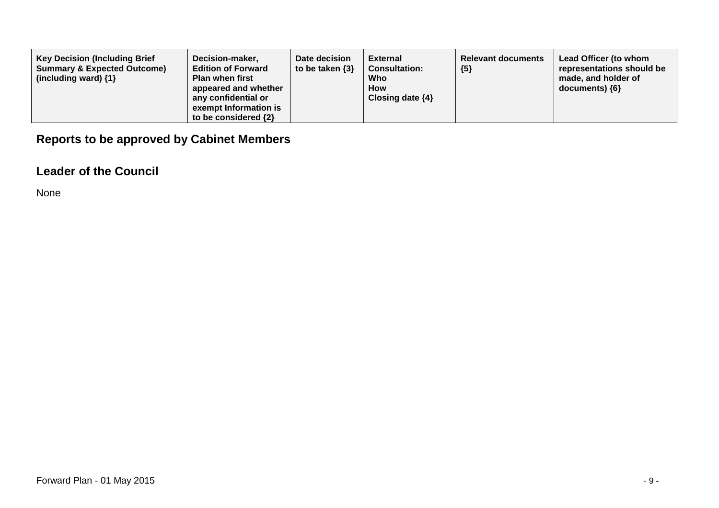| <b>Key Decision (Including Brief</b><br><b>Summary &amp; Expected Outcome)</b><br>(including ward) $\{1\}$ | Decision-maker,<br><b>Edition of Forward</b><br><b>Plan when first</b><br>appeared and whether<br>any confidential or<br>exempt Information is<br>to be considered $\{2\}$ | Date decision<br>to be taken $\{3\}$ | External<br><b>Consultation:</b><br>Who<br><b>How</b><br>Closing date $\{4\}$ | <b>Relevant documents</b><br>${5}$ | Lead Officer (to whom<br>representations should be<br>made, and holder of<br>$documents)$ {6} |
|------------------------------------------------------------------------------------------------------------|----------------------------------------------------------------------------------------------------------------------------------------------------------------------------|--------------------------------------|-------------------------------------------------------------------------------|------------------------------------|-----------------------------------------------------------------------------------------------|
|------------------------------------------------------------------------------------------------------------|----------------------------------------------------------------------------------------------------------------------------------------------------------------------------|--------------------------------------|-------------------------------------------------------------------------------|------------------------------------|-----------------------------------------------------------------------------------------------|

## **Reports to be approved by Cabinet Members**

#### **Leader of the Council**

None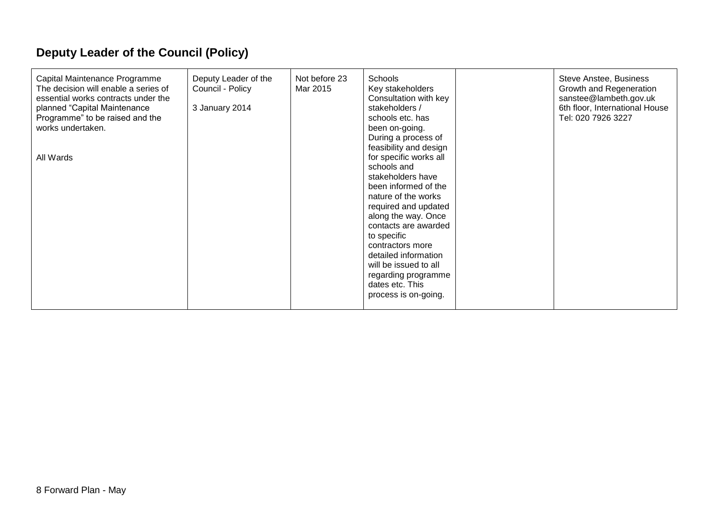# **Deputy Leader of the Council (Policy)**

| Capital Maintenance Programme<br>The decision will enable a series of<br>essential works contracts under the<br>planned "Capital Maintenance<br>Programme" to be raised and the<br>works undertaken.<br>All Wards | Deputy Leader of the<br>Council - Policy<br>3 January 2014 | Not before 23<br>Mar 2015 | <b>Schools</b><br>Key stakeholders<br>Consultation with key<br>stakeholders /<br>schools etc. has<br>been on-going.<br>During a process of<br>feasibility and design<br>for specific works all<br>schools and<br>stakeholders have<br>been informed of the<br>nature of the works<br>required and updated<br>along the way. Once<br>contacts are awarded<br>to specific<br>contractors more<br>detailed information<br>will be issued to all<br>regarding programme<br>dates etc. This<br>process is on-going. |  | Steve Anstee, Business<br>Growth and Regeneration<br>sanstee@lambeth.gov.uk<br>6th floor, International House<br>Tel: 020 7926 3227 |
|-------------------------------------------------------------------------------------------------------------------------------------------------------------------------------------------------------------------|------------------------------------------------------------|---------------------------|----------------------------------------------------------------------------------------------------------------------------------------------------------------------------------------------------------------------------------------------------------------------------------------------------------------------------------------------------------------------------------------------------------------------------------------------------------------------------------------------------------------|--|-------------------------------------------------------------------------------------------------------------------------------------|
|-------------------------------------------------------------------------------------------------------------------------------------------------------------------------------------------------------------------|------------------------------------------------------------|---------------------------|----------------------------------------------------------------------------------------------------------------------------------------------------------------------------------------------------------------------------------------------------------------------------------------------------------------------------------------------------------------------------------------------------------------------------------------------------------------------------------------------------------------|--|-------------------------------------------------------------------------------------------------------------------------------------|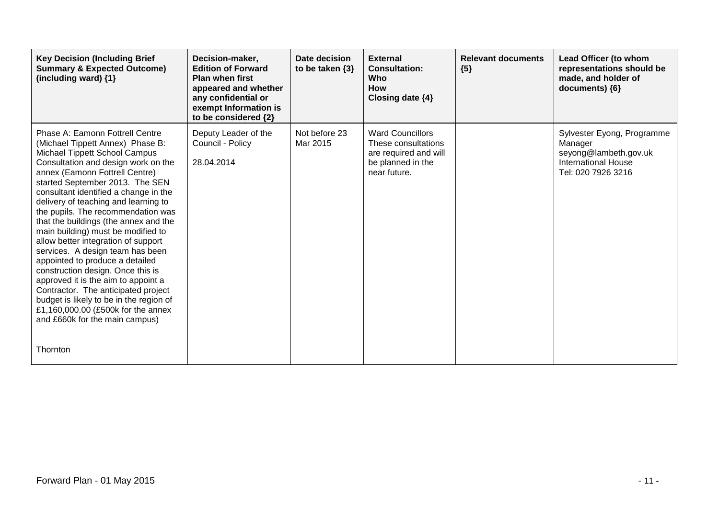| <b>Key Decision (Including Brief</b><br><b>Summary &amp; Expected Outcome)</b><br>(including ward) $\{1\}$                                                                                                                                                                                                                                                                                                                                                                                                                                                                                                                                                                                                                                                                             | Decision-maker,<br><b>Edition of Forward</b><br><b>Plan when first</b><br>appeared and whether<br>any confidential or<br>exempt Information is<br>to be considered {2} | Date decision<br>to be taken $\{3\}$ | <b>External</b><br><b>Consultation:</b><br>Who<br><b>How</b><br>Closing date {4}                             | <b>Relevant documents</b><br>${5}$ | Lead Officer (to whom<br>representations should be<br>made, and holder of<br>documents) ${6}$                      |
|----------------------------------------------------------------------------------------------------------------------------------------------------------------------------------------------------------------------------------------------------------------------------------------------------------------------------------------------------------------------------------------------------------------------------------------------------------------------------------------------------------------------------------------------------------------------------------------------------------------------------------------------------------------------------------------------------------------------------------------------------------------------------------------|------------------------------------------------------------------------------------------------------------------------------------------------------------------------|--------------------------------------|--------------------------------------------------------------------------------------------------------------|------------------------------------|--------------------------------------------------------------------------------------------------------------------|
| Phase A: Eamonn Fottrell Centre<br>(Michael Tippett Annex) Phase B:<br>Michael Tippett School Campus<br>Consultation and design work on the<br>annex (Eamonn Fottrell Centre)<br>started September 2013. The SEN<br>consultant identified a change in the<br>delivery of teaching and learning to<br>the pupils. The recommendation was<br>that the buildings (the annex and the<br>main building) must be modified to<br>allow better integration of support<br>services. A design team has been<br>appointed to produce a detailed<br>construction design. Once this is<br>approved it is the aim to appoint a<br>Contractor. The anticipated project<br>budget is likely to be in the region of<br>£1,160,000.00 (£500k for the annex<br>and £660k for the main campus)<br>Thornton | Deputy Leader of the<br>Council - Policy<br>28.04.2014                                                                                                                 | Not before 23<br>Mar 2015            | <b>Ward Councillors</b><br>These consultations<br>are required and will<br>be planned in the<br>near future. |                                    | Sylvester Eyong, Programme<br>Manager<br>seyong@lambeth.gov.uk<br><b>International House</b><br>Tel: 020 7926 3216 |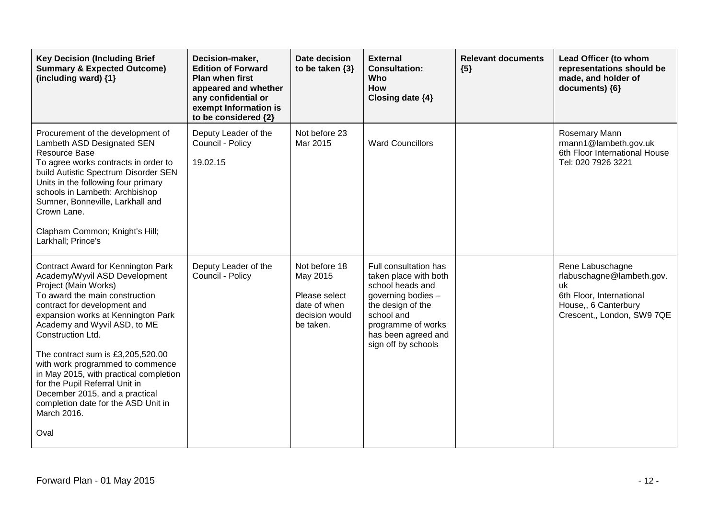| <b>Key Decision (Including Brief</b><br><b>Summary &amp; Expected Outcome)</b><br>(including ward) {1}                                                                                                                                                                                                                                                                                                                                                                                                        | Decision-maker,<br><b>Edition of Forward</b><br><b>Plan when first</b><br>appeared and whether<br>any confidential or<br>exempt Information is<br>to be considered {2} | Date decision<br>to be taken $\{3\}$                                                      | <b>External</b><br><b>Consultation:</b><br><b>Who</b><br>How<br>Closing date {4}                                                                                                                | <b>Relevant documents</b><br>${5}$ | Lead Officer (to whom<br>representations should be<br>made, and holder of<br>documents) {6}                                           |
|---------------------------------------------------------------------------------------------------------------------------------------------------------------------------------------------------------------------------------------------------------------------------------------------------------------------------------------------------------------------------------------------------------------------------------------------------------------------------------------------------------------|------------------------------------------------------------------------------------------------------------------------------------------------------------------------|-------------------------------------------------------------------------------------------|-------------------------------------------------------------------------------------------------------------------------------------------------------------------------------------------------|------------------------------------|---------------------------------------------------------------------------------------------------------------------------------------|
| Procurement of the development of<br>Lambeth ASD Designated SEN<br><b>Resource Base</b><br>To agree works contracts in order to<br>build Autistic Spectrum Disorder SEN<br>Units in the following four primary<br>schools in Lambeth: Archbishop<br>Sumner, Bonneville, Larkhall and<br>Crown Lane.<br>Clapham Common; Knight's Hill;<br>Larkhall; Prince's                                                                                                                                                   | Deputy Leader of the<br>Council - Policy<br>19.02.15                                                                                                                   | Not before 23<br>Mar 2015                                                                 | <b>Ward Councillors</b>                                                                                                                                                                         |                                    | Rosemary Mann<br>rmann1@lambeth.gov.uk<br>6th Floor International House<br>Tel: 020 7926 3221                                         |
| Contract Award for Kennington Park<br>Academy/Wyvil ASD Development<br>Project (Main Works)<br>To award the main construction<br>contract for development and<br>expansion works at Kennington Park<br>Academy and Wyvil ASD, to ME<br>Construction Ltd.<br>The contract sum is £3,205,520.00<br>with work programmed to commence<br>in May 2015, with practical completion<br>for the Pupil Referral Unit in<br>December 2015, and a practical<br>completion date for the ASD Unit in<br>March 2016.<br>Oval | Deputy Leader of the<br>Council - Policy                                                                                                                               | Not before 18<br>May 2015<br>Please select<br>date of when<br>decision would<br>be taken. | Full consultation has<br>taken place with both<br>school heads and<br>governing bodies -<br>the design of the<br>school and<br>programme of works<br>has been agreed and<br>sign off by schools |                                    | Rene Labuschagne<br>rlabuschagne@lambeth.gov.<br>uk<br>6th Floor, International<br>House,, 6 Canterbury<br>Crescent,, London, SW9 7QE |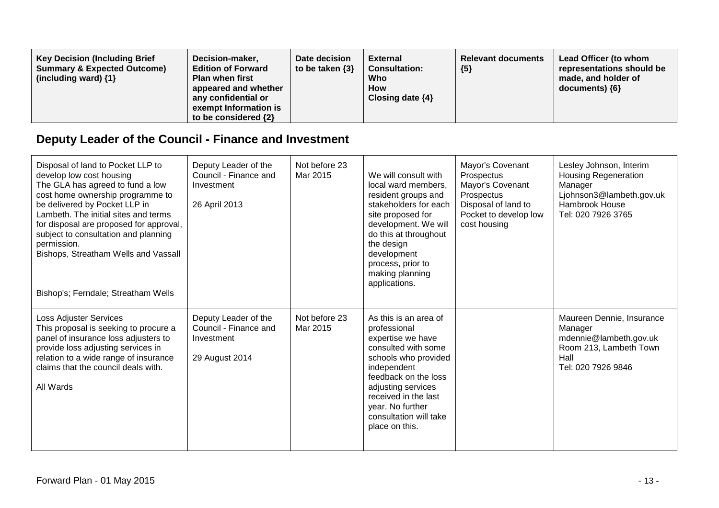| <b>Key Decision (Including Brief</b><br>Decision-maker,<br><b>Summary &amp; Expected Outcome)</b><br><b>Edition of Forward</b><br>(including ward) $\{1\}$<br><b>Plan when first</b><br>appeared and whether<br>any confidential or<br>exempt Information is<br>to be considered $\{2\}$ | Date decision<br>to be taken $\{3\}$ | External<br><b>Consultation:</b><br>Who<br><b>How</b><br>Closing date $\{4\}$ | <b>Relevant documents</b><br>${5}$ | Lead Officer (to whom<br>representations should be<br>made, and holder of<br>documents) ${6}$ |
|------------------------------------------------------------------------------------------------------------------------------------------------------------------------------------------------------------------------------------------------------------------------------------------|--------------------------------------|-------------------------------------------------------------------------------|------------------------------------|-----------------------------------------------------------------------------------------------|
|------------------------------------------------------------------------------------------------------------------------------------------------------------------------------------------------------------------------------------------------------------------------------------------|--------------------------------------|-------------------------------------------------------------------------------|------------------------------------|-----------------------------------------------------------------------------------------------|

# **Deputy Leader of the Council - Finance and Investment**

| Disposal of land to Pocket LLP to<br>develop low cost housing<br>The GLA has agreed to fund a low<br>cost home ownership programme to<br>be delivered by Pocket LLP in<br>Lambeth. The initial sites and terms<br>for disposal are proposed for approval,<br>subject to consultation and planning<br>permission.<br>Bishops, Streatham Wells and Vassall<br>Bishop's; Ferndale; Streatham Wells | Deputy Leader of the<br>Council - Finance and<br>Investment<br>26 April 2013  | Not before 23<br>Mar 2015 | We will consult with<br>local ward members,<br>resident groups and<br>stakeholders for each<br>site proposed for<br>development. We will<br>do this at throughout<br>the design<br>development<br>process, prior to<br>making planning<br>applications.        | Mayor's Covenant<br>Prospectus<br>Mayor's Covenant<br>Prospectus<br>Disposal of land to<br>Pocket to develop low<br>cost housing | Lesley Johnson, Interim<br><b>Housing Regeneration</b><br>Manager<br>Ljohnson3@lambeth.gov.uk<br>Hambrook House<br>Tel: 020 7926 3765 |
|-------------------------------------------------------------------------------------------------------------------------------------------------------------------------------------------------------------------------------------------------------------------------------------------------------------------------------------------------------------------------------------------------|-------------------------------------------------------------------------------|---------------------------|----------------------------------------------------------------------------------------------------------------------------------------------------------------------------------------------------------------------------------------------------------------|----------------------------------------------------------------------------------------------------------------------------------|---------------------------------------------------------------------------------------------------------------------------------------|
| <b>Loss Adjuster Services</b><br>This proposal is seeking to procure a<br>panel of insurance loss adjusters to<br>provide loss adjusting services in<br>relation to a wide range of insurance<br>claims that the council deals with.<br>All Wards                                                                                                                                               | Deputy Leader of the<br>Council - Finance and<br>Investment<br>29 August 2014 | Not before 23<br>Mar 2015 | As this is an area of<br>professional<br>expertise we have<br>consulted with some<br>schools who provided<br>independent<br>feedback on the loss<br>adjusting services<br>received in the last<br>year. No further<br>consultation will take<br>place on this. |                                                                                                                                  | Maureen Dennie, Insurance<br>Manager<br>mdennie@lambeth.gov.uk<br>Room 213, Lambeth Town<br>Hall<br>Tel: 020 7926 9846                |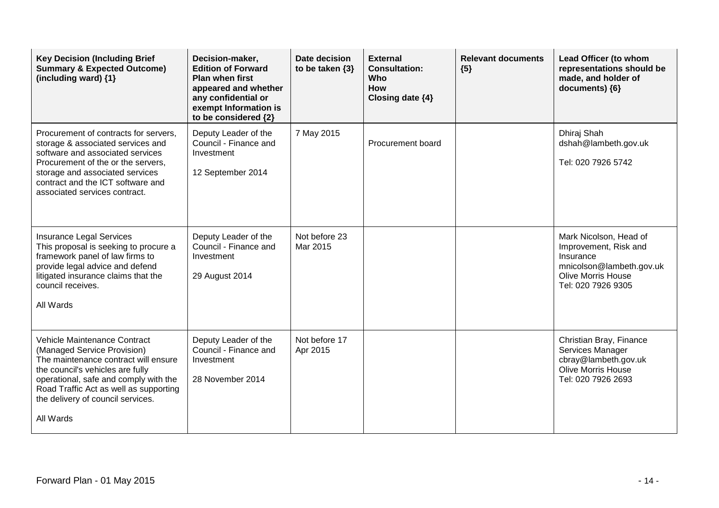| <b>Key Decision (Including Brief</b><br><b>Summary &amp; Expected Outcome)</b><br>(including ward) {1}                                                                                                                                                                       | Decision-maker,<br><b>Edition of Forward</b><br><b>Plan when first</b><br>appeared and whether<br>any confidential or<br>exempt Information is<br>to be considered {2} | Date decision<br>to be taken $\{3\}$ | <b>External</b><br><b>Consultation:</b><br><b>Who</b><br><b>How</b><br>Closing date {4} | <b>Relevant documents</b><br>${5}$ | Lead Officer (to whom<br>representations should be<br>made, and holder of<br>documents) {6}                                                 |
|------------------------------------------------------------------------------------------------------------------------------------------------------------------------------------------------------------------------------------------------------------------------------|------------------------------------------------------------------------------------------------------------------------------------------------------------------------|--------------------------------------|-----------------------------------------------------------------------------------------|------------------------------------|---------------------------------------------------------------------------------------------------------------------------------------------|
| Procurement of contracts for servers,<br>storage & associated services and<br>software and associated services<br>Procurement of the or the servers,<br>storage and associated services<br>contract and the ICT software and<br>associated services contract.                | Deputy Leader of the<br>Council - Finance and<br>Investment<br>12 September 2014                                                                                       | 7 May 2015                           | Procurement board                                                                       |                                    | Dhiraj Shah<br>dshah@lambeth.gov.uk<br>Tel: 020 7926 5742                                                                                   |
| <b>Insurance Legal Services</b><br>This proposal is seeking to procure a<br>framework panel of law firms to<br>provide legal advice and defend<br>litigated insurance claims that the<br>council receives.<br>All Wards                                                      | Deputy Leader of the<br>Council - Finance and<br>Investment<br>29 August 2014                                                                                          | Not before 23<br>Mar 2015            |                                                                                         |                                    | Mark Nicolson, Head of<br>Improvement, Risk and<br>Insurance<br>mnicolson@lambeth.gov.uk<br><b>Olive Morris House</b><br>Tel: 020 7926 9305 |
| Vehicle Maintenance Contract<br>(Managed Service Provision)<br>The maintenance contract will ensure<br>the council's vehicles are fully<br>operational, safe and comply with the<br>Road Traffic Act as well as supporting<br>the delivery of council services.<br>All Wards | Deputy Leader of the<br>Council - Finance and<br>Investment<br>28 November 2014                                                                                        | Not before 17<br>Apr 2015            |                                                                                         |                                    | Christian Bray, Finance<br>Services Manager<br>cbray@lambeth.gov.uk<br><b>Olive Morris House</b><br>Tel: 020 7926 2693                      |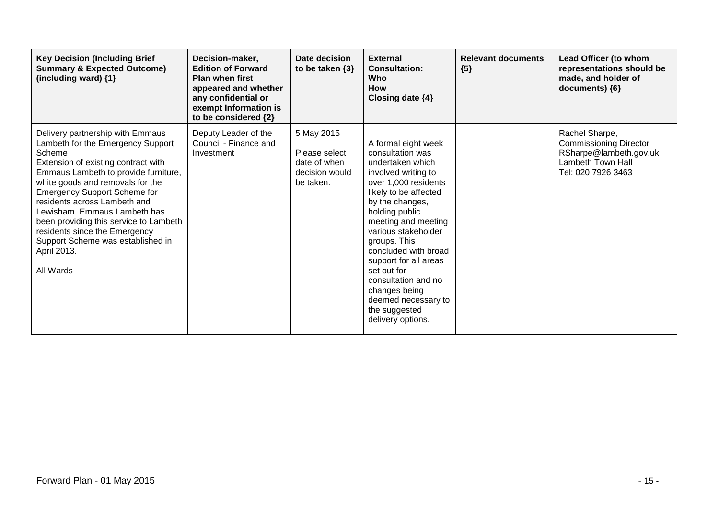| <b>Key Decision (Including Brief</b><br><b>Summary &amp; Expected Outcome)</b><br>(including ward) {1}                                                                                                                                                                                                                                                                                                                                                | Decision-maker,<br><b>Edition of Forward</b><br><b>Plan when first</b><br>appeared and whether<br>any confidential or<br>exempt Information is<br>to be considered {2} | Date decision<br>to be taken $\{3\}$                                       | <b>External</b><br><b>Consultation:</b><br>Who<br><b>How</b><br>Closing date $\{4\}$                                                                                                                                                                                                                                                                                                                        | <b>Relevant documents</b><br>${5}$ | Lead Officer (to whom<br>representations should be<br>made, and holder of<br>documents) ${6}$                        |
|-------------------------------------------------------------------------------------------------------------------------------------------------------------------------------------------------------------------------------------------------------------------------------------------------------------------------------------------------------------------------------------------------------------------------------------------------------|------------------------------------------------------------------------------------------------------------------------------------------------------------------------|----------------------------------------------------------------------------|-------------------------------------------------------------------------------------------------------------------------------------------------------------------------------------------------------------------------------------------------------------------------------------------------------------------------------------------------------------------------------------------------------------|------------------------------------|----------------------------------------------------------------------------------------------------------------------|
| Delivery partnership with Emmaus<br>Lambeth for the Emergency Support<br>Scheme<br>Extension of existing contract with<br>Emmaus Lambeth to provide furniture,<br>white goods and removals for the<br><b>Emergency Support Scheme for</b><br>residents across Lambeth and<br>Lewisham. Emmaus Lambeth has<br>been providing this service to Lambeth<br>residents since the Emergency<br>Support Scheme was established in<br>April 2013.<br>All Wards | Deputy Leader of the<br>Council - Finance and<br>Investment                                                                                                            | 5 May 2015<br>Please select<br>date of when<br>decision would<br>be taken. | A formal eight week<br>consultation was<br>undertaken which<br>involved writing to<br>over 1,000 residents<br>likely to be affected<br>by the changes,<br>holding public<br>meeting and meeting<br>various stakeholder<br>groups. This<br>concluded with broad<br>support for all areas<br>set out for<br>consultation and no<br>changes being<br>deemed necessary to<br>the suggested<br>delivery options. |                                    | Rachel Sharpe,<br><b>Commissioning Director</b><br>RSharpe@lambeth.gov.uk<br>Lambeth Town Hall<br>Tel: 020 7926 3463 |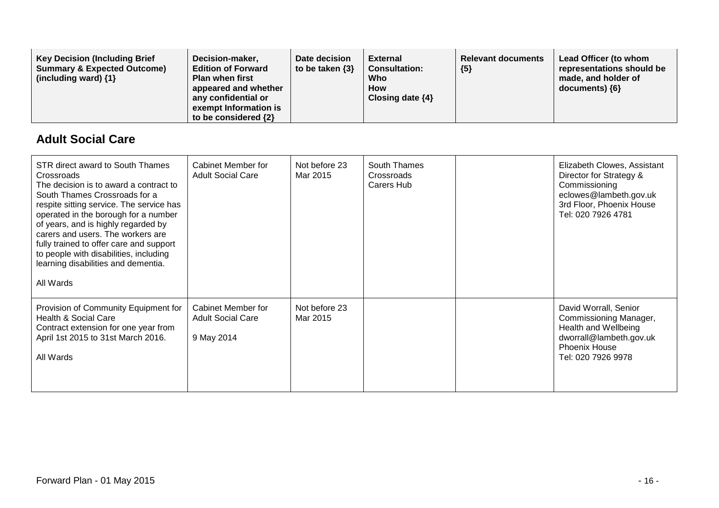| <b>Key Decision (Including Brief</b><br><b>Summary &amp; Expected Outcome)</b><br>(including ward) $\{1\}$ | Decision-maker,<br><b>Edition of Forward</b><br><b>Plan when first</b><br>appeared and whether<br>any confidential or<br>exempt Information is<br>to be considered $\{2\}$ | Date decision<br>External<br>to be taken $\{3\}$<br><b>Consultation:</b><br>Who<br><b>How</b><br>Closing date $\{4\}$ | <b>Relevant documents</b><br>${5}$ | Lead Officer (to whom<br>representations should be<br>made, and holder of<br>$documents)$ {6} |
|------------------------------------------------------------------------------------------------------------|----------------------------------------------------------------------------------------------------------------------------------------------------------------------------|-----------------------------------------------------------------------------------------------------------------------|------------------------------------|-----------------------------------------------------------------------------------------------|
|------------------------------------------------------------------------------------------------------------|----------------------------------------------------------------------------------------------------------------------------------------------------------------------------|-----------------------------------------------------------------------------------------------------------------------|------------------------------------|-----------------------------------------------------------------------------------------------|

#### **Adult Social Care**

| STR direct award to South Thames<br>Crossroads<br>The decision is to award a contract to<br>South Thames Crossroads for a<br>respite sitting service. The service has<br>operated in the borough for a number<br>of years, and is highly regarded by<br>carers and users. The workers are<br>fully trained to offer care and support<br>to people with disabilities, including<br>learning disabilities and dementia.<br>All Wards | Cabinet Member for<br><b>Adult Social Care</b>               | Not before 23<br>Mar 2015 | South Thames<br>Crossroads<br>Carers Hub | Elizabeth Clowes, Assistant<br>Director for Strategy &<br>Commissioning<br>eclowes@lambeth.gov.uk<br>3rd Floor, Phoenix House<br>Tel: 020 7926 4781 |
|------------------------------------------------------------------------------------------------------------------------------------------------------------------------------------------------------------------------------------------------------------------------------------------------------------------------------------------------------------------------------------------------------------------------------------|--------------------------------------------------------------|---------------------------|------------------------------------------|-----------------------------------------------------------------------------------------------------------------------------------------------------|
| Provision of Community Equipment for<br>Health & Social Care<br>Contract extension for one year from<br>April 1st 2015 to 31st March 2016.<br>All Wards                                                                                                                                                                                                                                                                            | Cabinet Member for<br><b>Adult Social Care</b><br>9 May 2014 | Not before 23<br>Mar 2015 |                                          | David Worrall, Senior<br>Commissioning Manager,<br>Health and Wellbeing<br>dworrall@lambeth.gov.uk<br>Phoenix House<br>Tel: 020 7926 9978           |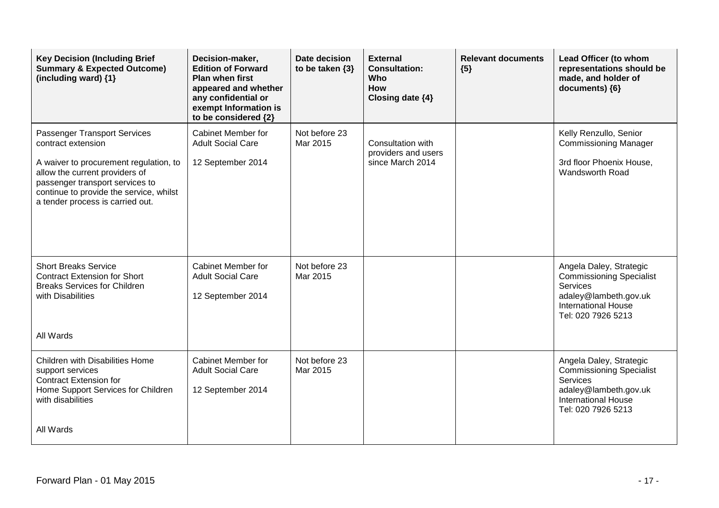| <b>Key Decision (Including Brief</b><br><b>Summary &amp; Expected Outcome)</b><br>(including ward) {1}                                                                                                                                           | Decision-maker,<br><b>Edition of Forward</b><br><b>Plan when first</b><br>appeared and whether<br>any confidential or<br>exempt Information is<br>to be considered {2} | Date decision<br>to be taken {3} | <b>External</b><br><b>Consultation:</b><br>Who<br>How<br>Closing date {4} | <b>Relevant documents</b><br>${5}$ | Lead Officer (to whom<br>representations should be<br>made, and holder of<br>documents) {6}                                                         |
|--------------------------------------------------------------------------------------------------------------------------------------------------------------------------------------------------------------------------------------------------|------------------------------------------------------------------------------------------------------------------------------------------------------------------------|----------------------------------|---------------------------------------------------------------------------|------------------------------------|-----------------------------------------------------------------------------------------------------------------------------------------------------|
| Passenger Transport Services<br>contract extension<br>A waiver to procurement regulation, to<br>allow the current providers of<br>passenger transport services to<br>continue to provide the service, whilst<br>a tender process is carried out. | Cabinet Member for<br><b>Adult Social Care</b><br>12 September 2014                                                                                                    | Not before 23<br>Mar 2015        | Consultation with<br>providers and users<br>since March 2014              |                                    | Kelly Renzullo, Senior<br><b>Commissioning Manager</b><br>3rd floor Phoenix House,<br>Wandsworth Road                                               |
| <b>Short Breaks Service</b><br><b>Contract Extension for Short</b><br><b>Breaks Services for Children</b><br>with Disabilities<br>All Wards                                                                                                      | Cabinet Member for<br><b>Adult Social Care</b><br>12 September 2014                                                                                                    | Not before 23<br>Mar 2015        |                                                                           |                                    | Angela Daley, Strategic<br><b>Commissioning Specialist</b><br>Services<br>adaley@lambeth.gov.uk<br><b>International House</b><br>Tel: 020 7926 5213 |
| Children with Disabilities Home<br>support services<br><b>Contract Extension for</b><br>Home Support Services for Children<br>with disabilities<br>All Wards                                                                                     | Cabinet Member for<br><b>Adult Social Care</b><br>12 September 2014                                                                                                    | Not before 23<br>Mar 2015        |                                                                           |                                    | Angela Daley, Strategic<br><b>Commissioning Specialist</b><br>Services<br>adaley@lambeth.gov.uk<br><b>International House</b><br>Tel: 020 7926 5213 |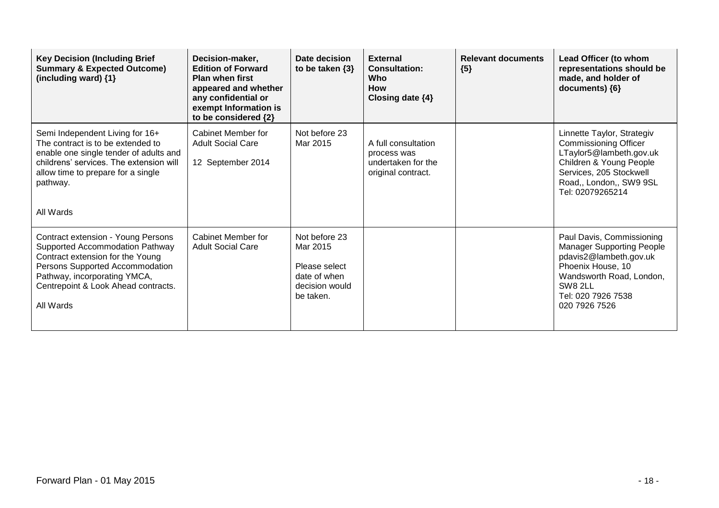| <b>Key Decision (Including Brief</b><br><b>Summary &amp; Expected Outcome)</b><br>(including ward) {1}                                                                                                                           | Decision-maker,<br><b>Edition of Forward</b><br><b>Plan when first</b><br>appeared and whether<br>any confidential or<br>exempt Information is<br>to be considered {2} | Date decision<br>to be taken $\{3\}$                                                      | <b>External</b><br><b>Consultation:</b><br>Who<br><b>How</b><br>Closing date $\{4\}$ | <b>Relevant documents</b><br>${5}$ | Lead Officer (to whom<br>representations should be<br>made, and holder of<br>documents) {6}                                                                                                |
|----------------------------------------------------------------------------------------------------------------------------------------------------------------------------------------------------------------------------------|------------------------------------------------------------------------------------------------------------------------------------------------------------------------|-------------------------------------------------------------------------------------------|--------------------------------------------------------------------------------------|------------------------------------|--------------------------------------------------------------------------------------------------------------------------------------------------------------------------------------------|
| Semi Independent Living for 16+<br>The contract is to be extended to<br>enable one single tender of adults and<br>childrens' services. The extension will<br>allow time to prepare for a single<br>pathway.<br>All Wards         | Cabinet Member for<br><b>Adult Social Care</b><br>12 September 2014                                                                                                    | Not before 23<br>Mar 2015                                                                 | A full consultation<br>process was<br>undertaken for the<br>original contract.       |                                    | Linnette Taylor, Strategiv<br><b>Commissioning Officer</b><br>LTaylor5@lambeth.gov.uk<br>Children & Young People<br>Services, 205 Stockwell<br>Road,, London,, SW9 9SL<br>Tel: 02079265214 |
| Contract extension - Young Persons<br>Supported Accommodation Pathway<br>Contract extension for the Young<br>Persons Supported Accommodation<br>Pathway, incorporating YMCA,<br>Centrepoint & Look Ahead contracts.<br>All Wards | Cabinet Member for<br><b>Adult Social Care</b>                                                                                                                         | Not before 23<br>Mar 2015<br>Please select<br>date of when<br>decision would<br>be taken. |                                                                                      |                                    | Paul Davis, Commissioning<br><b>Manager Supporting People</b><br>pdavis2@lambeth.gov.uk<br>Phoenix House, 10<br>Wandsworth Road, London,<br>SW8 2LL<br>Tel: 020 7926 7538<br>020 7926 7526 |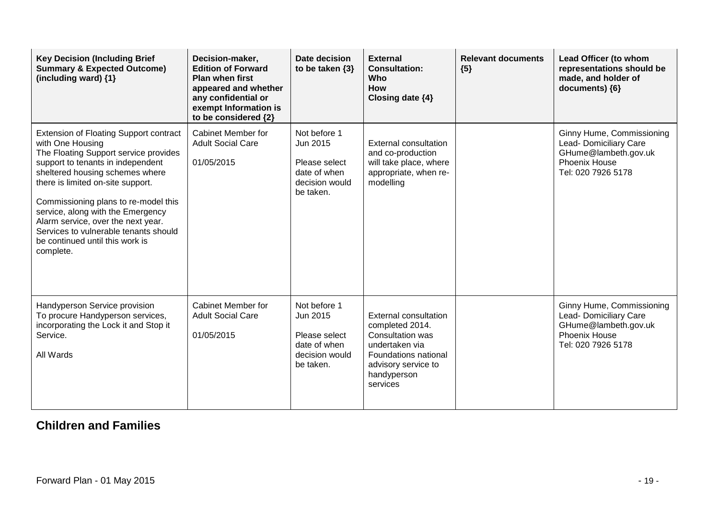| <b>Key Decision (Including Brief</b><br><b>Summary &amp; Expected Outcome)</b><br>(including ward) {1}                                                                                                                                                                                                                                                                                                                       | Decision-maker,<br><b>Edition of Forward</b><br><b>Plan when first</b><br>appeared and whether<br>any confidential or<br>exempt Information is<br>to be considered {2} | Date decision<br>to be taken $\{3\}$                                                     | <b>External</b><br><b>Consultation:</b><br>Who<br><b>How</b><br>Closing date {4}                                                                                       | <b>Relevant documents</b><br>${5}$ | Lead Officer (to whom<br>representations should be<br>made, and holder of<br>documents) ${6}$                             |
|------------------------------------------------------------------------------------------------------------------------------------------------------------------------------------------------------------------------------------------------------------------------------------------------------------------------------------------------------------------------------------------------------------------------------|------------------------------------------------------------------------------------------------------------------------------------------------------------------------|------------------------------------------------------------------------------------------|------------------------------------------------------------------------------------------------------------------------------------------------------------------------|------------------------------------|---------------------------------------------------------------------------------------------------------------------------|
| Extension of Floating Support contract<br>with One Housing<br>The Floating Support service provides<br>support to tenants in independent<br>sheltered housing schemes where<br>there is limited on-site support.<br>Commissioning plans to re-model this<br>service, along with the Emergency<br>Alarm service, over the next year.<br>Services to vulnerable tenants should<br>be continued until this work is<br>complete. | <b>Cabinet Member for</b><br><b>Adult Social Care</b><br>01/05/2015                                                                                                    | Not before 1<br>Jun 2015<br>Please select<br>date of when<br>decision would<br>be taken. | <b>External consultation</b><br>and co-production<br>will take place, where<br>appropriate, when re-<br>modelling                                                      |                                    | Ginny Hume, Commissioning<br>Lead- Domiciliary Care<br>GHume@lambeth.gov.uk<br><b>Phoenix House</b><br>Tel: 020 7926 5178 |
| Handyperson Service provision<br>To procure Handyperson services,<br>incorporating the Lock it and Stop it<br>Service.<br>All Wards                                                                                                                                                                                                                                                                                          | Cabinet Member for<br><b>Adult Social Care</b><br>01/05/2015                                                                                                           | Not before 1<br>Jun 2015<br>Please select<br>date of when<br>decision would<br>be taken. | <b>External consultation</b><br>completed 2014.<br><b>Consultation was</b><br>undertaken via<br>Foundations national<br>advisory service to<br>handyperson<br>services |                                    | Ginny Hume, Commissioning<br>Lead- Domiciliary Care<br>GHume@lambeth.gov.uk<br><b>Phoenix House</b><br>Tel: 020 7926 5178 |

### **Children and Families**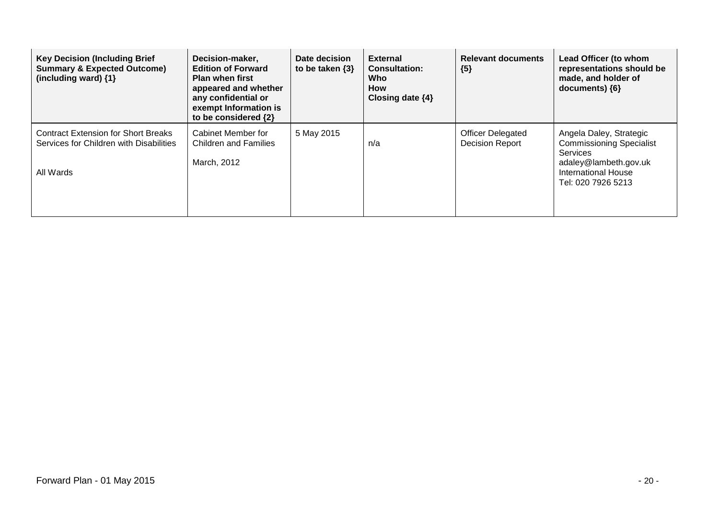| <b>Key Decision (Including Brief</b><br><b>Summary &amp; Expected Outcome)</b><br>(including ward) {1} | Decision-maker,<br><b>Edition of Forward</b><br><b>Plan when first</b><br>appeared and whether<br>any confidential or<br>exempt Information is<br>to be considered {2} | Date decision<br>to be taken $\{3\}$ | <b>External</b><br><b>Consultation:</b><br><b>Who</b><br><b>How</b><br>Closing date $\{4\}$ | <b>Relevant documents</b><br>${5}$                 | Lead Officer (to whom<br>representations should be<br>made, and holder of<br>documents) $\{6\}$                                                            |
|--------------------------------------------------------------------------------------------------------|------------------------------------------------------------------------------------------------------------------------------------------------------------------------|--------------------------------------|---------------------------------------------------------------------------------------------|----------------------------------------------------|------------------------------------------------------------------------------------------------------------------------------------------------------------|
| <b>Contract Extension for Short Breaks</b><br>Services for Children with Disabilities<br>All Wards     | Cabinet Member for<br><b>Children and Families</b><br>March, 2012                                                                                                      | 5 May 2015                           | n/a                                                                                         | <b>Officer Delegated</b><br><b>Decision Report</b> | Angela Daley, Strategic<br><b>Commissioning Specialist</b><br><b>Services</b><br>adaley@lambeth.gov.uk<br><b>International House</b><br>Tel: 020 7926 5213 |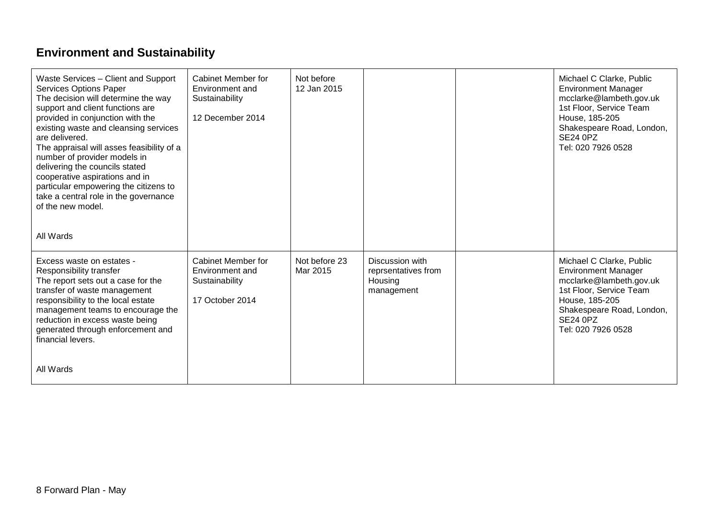# **Environment and Sustainability**

| Waste Services - Client and Support<br><b>Services Options Paper</b><br>The decision will determine the way<br>support and client functions are<br>provided in conjunction with the<br>existing waste and cleansing services<br>are delivered.<br>The appraisal will asses feasibility of a<br>number of provider models in<br>delivering the councils stated<br>cooperative aspirations and in<br>particular empowering the citizens to<br>take a central role in the governance<br>of the new model. | Cabinet Member for<br>Environment and<br>Sustainability<br>12 December 2014       | Not before<br>12 Jan 2015 |                                                                 | Michael C Clarke, Public<br><b>Environment Manager</b><br>mcclarke@lambeth.gov.uk<br>1st Floor, Service Team<br>House, 185-205<br>Shakespeare Road, London,<br><b>SE24 0PZ</b><br>Tel: 020 7926 0528 |
|--------------------------------------------------------------------------------------------------------------------------------------------------------------------------------------------------------------------------------------------------------------------------------------------------------------------------------------------------------------------------------------------------------------------------------------------------------------------------------------------------------|-----------------------------------------------------------------------------------|---------------------------|-----------------------------------------------------------------|------------------------------------------------------------------------------------------------------------------------------------------------------------------------------------------------------|
| All Wards                                                                                                                                                                                                                                                                                                                                                                                                                                                                                              |                                                                                   |                           |                                                                 |                                                                                                                                                                                                      |
| Excess waste on estates -<br>Responsibility transfer<br>The report sets out a case for the<br>transfer of waste management<br>responsibility to the local estate<br>management teams to encourage the<br>reduction in excess waste being<br>generated through enforcement and<br>financial levers.                                                                                                                                                                                                     | <b>Cabinet Member for</b><br>Environment and<br>Sustainability<br>17 October 2014 | Not before 23<br>Mar 2015 | Discussion with<br>reprsentatives from<br>Housing<br>management | Michael C Clarke, Public<br><b>Environment Manager</b><br>mcclarke@lambeth.gov.uk<br>1st Floor, Service Team<br>House, 185-205<br>Shakespeare Road, London,<br><b>SE24 0PZ</b><br>Tel: 020 7926 0528 |
| All Wards                                                                                                                                                                                                                                                                                                                                                                                                                                                                                              |                                                                                   |                           |                                                                 |                                                                                                                                                                                                      |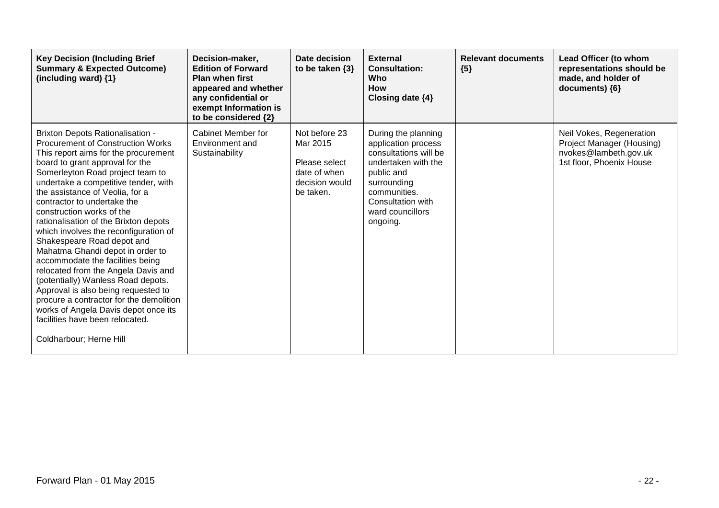| <b>Key Decision (Including Brief</b><br><b>Summary &amp; Expected Outcome)</b><br>(including ward) {1}                                                                                                                                                                                                                                                                                                                                                                                                                                                                                                                                                                                                                                                                                                 | Decision-maker,<br><b>Edition of Forward</b><br><b>Plan when first</b><br>appeared and whether<br>any confidential or<br>exempt Information is<br>to be considered {2} | Date decision<br>to be taken $\{3\}$                                                      | <b>External</b><br><b>Consultation:</b><br><b>Who</b><br><b>How</b><br>Closing date $\{4\}$                                                                                                  | <b>Relevant documents</b><br>${5}$ | <b>Lead Officer (to whom</b><br>representations should be<br>made, and holder of<br>documents) {6}         |
|--------------------------------------------------------------------------------------------------------------------------------------------------------------------------------------------------------------------------------------------------------------------------------------------------------------------------------------------------------------------------------------------------------------------------------------------------------------------------------------------------------------------------------------------------------------------------------------------------------------------------------------------------------------------------------------------------------------------------------------------------------------------------------------------------------|------------------------------------------------------------------------------------------------------------------------------------------------------------------------|-------------------------------------------------------------------------------------------|----------------------------------------------------------------------------------------------------------------------------------------------------------------------------------------------|------------------------------------|------------------------------------------------------------------------------------------------------------|
| <b>Brixton Depots Rationalisation -</b><br><b>Procurement of Construction Works</b><br>This report aims for the procurement<br>board to grant approval for the<br>Somerleyton Road project team to<br>undertake a competitive tender, with<br>the assistance of Veolia, for a<br>contractor to undertake the<br>construction works of the<br>rationalisation of the Brixton depots<br>which involves the reconfiguration of<br>Shakespeare Road depot and<br>Mahatma Ghandi depot in order to<br>accommodate the facilities being<br>relocated from the Angela Davis and<br>(potentially) Wanless Road depots.<br>Approval is also being requested to<br>procure a contractor for the demolition<br>works of Angela Davis depot once its<br>facilities have been relocated.<br>Coldharbour; Herne Hill | Cabinet Member for<br>Environment and<br>Sustainability                                                                                                                | Not before 23<br>Mar 2015<br>Please select<br>date of when<br>decision would<br>be taken. | During the planning<br>application process<br>consultations will be<br>undertaken with the<br>public and<br>surrounding<br>communities.<br>Consultation with<br>ward councillors<br>ongoing. |                                    | Neil Vokes, Regeneration<br>Project Manager (Housing)<br>nvokes@lambeth.gov.uk<br>1st floor, Phoenix House |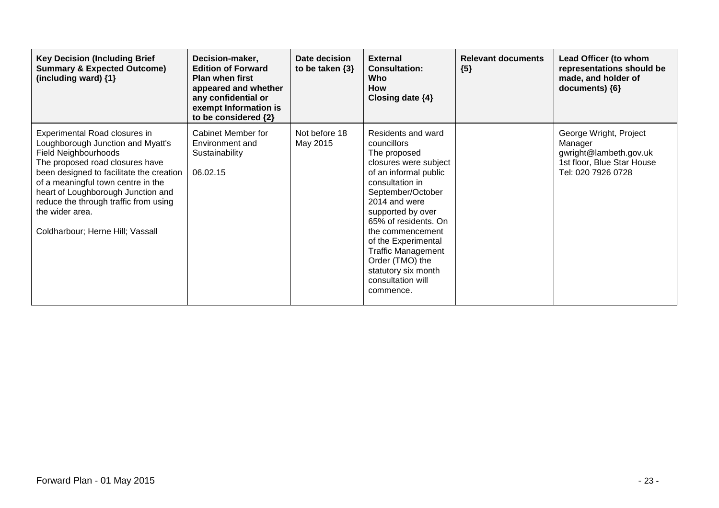| <b>Key Decision (Including Brief</b><br><b>Summary &amp; Expected Outcome)</b><br>(including ward) $\{1\}$                                                                                                                                                                                                                                                   | Decision-maker,<br><b>Edition of Forward</b><br><b>Plan when first</b><br>appeared and whether<br>any confidential or<br>exempt Information is<br>to be considered {2} | Date decision<br>to be taken $\{3\}$ | <b>External</b><br><b>Consultation:</b><br>Who<br><b>How</b><br>Closing date $\{4\}$                                                                                                                                                                                                                                                                          | <b>Relevant documents</b><br>${5}$ | Lead Officer (to whom<br>representations should be<br>made, and holder of<br>documents) {6}                     |
|--------------------------------------------------------------------------------------------------------------------------------------------------------------------------------------------------------------------------------------------------------------------------------------------------------------------------------------------------------------|------------------------------------------------------------------------------------------------------------------------------------------------------------------------|--------------------------------------|---------------------------------------------------------------------------------------------------------------------------------------------------------------------------------------------------------------------------------------------------------------------------------------------------------------------------------------------------------------|------------------------------------|-----------------------------------------------------------------------------------------------------------------|
| Experimental Road closures in<br>Loughborough Junction and Myatt's<br><b>Field Neighbourhoods</b><br>The proposed road closures have<br>been designed to facilitate the creation<br>of a meaningful town centre in the<br>heart of Loughborough Junction and<br>reduce the through traffic from using<br>the wider area.<br>Coldharbour; Herne Hill; Vassall | <b>Cabinet Member for</b><br>Environment and<br>Sustainability<br>06.02.15                                                                                             | Not before 18<br>May 2015            | Residents and ward<br>councillors<br>The proposed<br>closures were subject<br>of an informal public<br>consultation in<br>September/October<br>2014 and were<br>supported by over<br>65% of residents. On<br>the commencement<br>of the Experimental<br><b>Traffic Management</b><br>Order (TMO) the<br>statutory six month<br>consultation will<br>commence. |                                    | George Wright, Project<br>Manager<br>gwright@lambeth.gov.uk<br>1st floor, Blue Star House<br>Tel: 020 7926 0728 |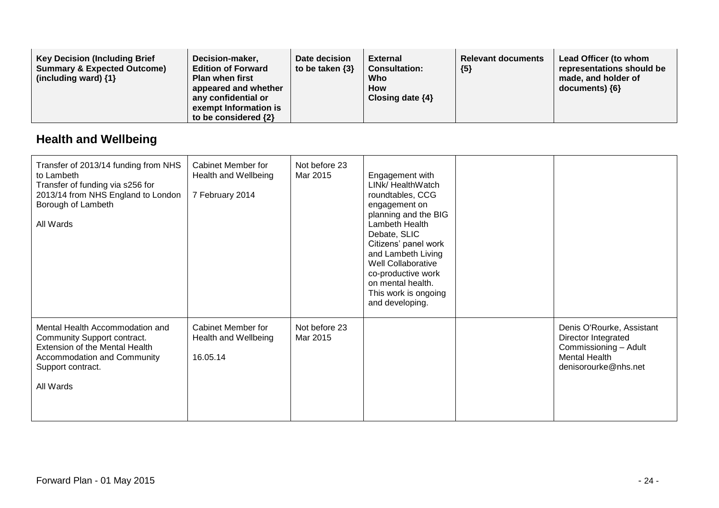| <b>Key Decision (Including Brief</b><br><b>Summary &amp; Expected Outcome)</b><br>(including ward) $\{1\}$ | Decision-maker,<br><b>Edition of Forward</b><br><b>Plan when first</b><br>appeared and whether<br>any confidential or<br>exempt Information is<br>to be considered {2} | Date decision<br>to be taken $\{3\}$ | <b>External</b><br><b>Consultation:</b><br>Who<br>How<br>Closing date $\{4\}$ | <b>Relevant documents</b><br>${5}$ | Lead Officer (to whom<br>representations should be<br>made, and holder of<br>$documents)$ {6} |
|------------------------------------------------------------------------------------------------------------|------------------------------------------------------------------------------------------------------------------------------------------------------------------------|--------------------------------------|-------------------------------------------------------------------------------|------------------------------------|-----------------------------------------------------------------------------------------------|
|------------------------------------------------------------------------------------------------------------|------------------------------------------------------------------------------------------------------------------------------------------------------------------------|--------------------------------------|-------------------------------------------------------------------------------|------------------------------------|-----------------------------------------------------------------------------------------------|

### **Health and Wellbeing**

| Transfer of 2013/14 funding from NHS<br>to Lambeth<br>Transfer of funding via s256 for<br>2013/14 from NHS England to London<br>Borough of Lambeth<br>All Wards   | Cabinet Member for<br>Health and Wellbeing<br>7 February 2014 | Not before 23<br>Mar 2015 | Engagement with<br>LINk/ HealthWatch<br>roundtables, CCG<br>engagement on<br>planning and the BIG<br>Lambeth Health<br>Debate, SLIC<br>Citizens' panel work<br>and Lambeth Living<br><b>Well Collaborative</b><br>co-productive work<br>on mental health.<br>This work is ongoing<br>and developing. |                                                                                                                           |
|-------------------------------------------------------------------------------------------------------------------------------------------------------------------|---------------------------------------------------------------|---------------------------|------------------------------------------------------------------------------------------------------------------------------------------------------------------------------------------------------------------------------------------------------------------------------------------------------|---------------------------------------------------------------------------------------------------------------------------|
| Mental Health Accommodation and<br>Community Support contract.<br>Extension of the Mental Health<br>Accommodation and Community<br>Support contract.<br>All Wards | Cabinet Member for<br>Health and Wellbeing<br>16.05.14        | Not before 23<br>Mar 2015 |                                                                                                                                                                                                                                                                                                      | Denis O'Rourke, Assistant<br>Director Integrated<br>Commissioning - Adult<br><b>Mental Health</b><br>denisorourke@nhs.net |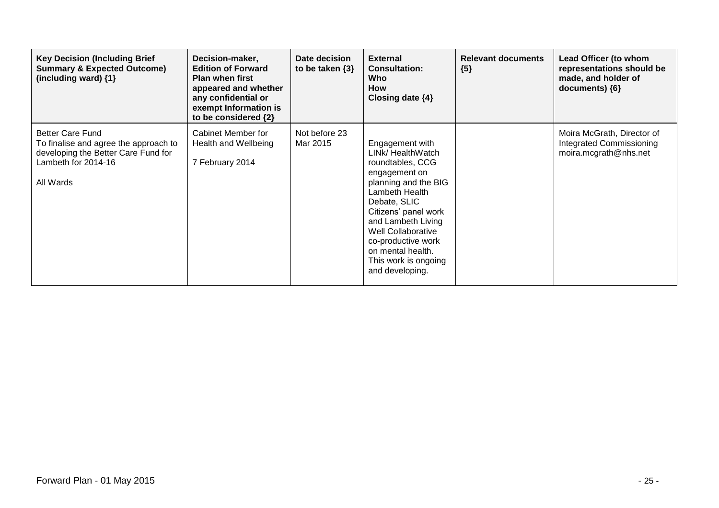| <b>Key Decision (Including Brief</b><br><b>Summary &amp; Expected Outcome)</b><br>(including ward) $\{1\}$                                  | Decision-maker,<br><b>Edition of Forward</b><br><b>Plan when first</b><br>appeared and whether<br>any confidential or<br>exempt Information is<br>to be considered {2} | Date decision<br>to be taken $\{3\}$ | <b>External</b><br><b>Consultation:</b><br>Who<br><b>How</b><br>Closing date $\{4\}$                                                                                                                                                                                                          | <b>Relevant documents</b><br>${5}$ | Lead Officer (to whom<br>representations should be<br>made, and holder of<br>documents) ${6}$ |
|---------------------------------------------------------------------------------------------------------------------------------------------|------------------------------------------------------------------------------------------------------------------------------------------------------------------------|--------------------------------------|-----------------------------------------------------------------------------------------------------------------------------------------------------------------------------------------------------------------------------------------------------------------------------------------------|------------------------------------|-----------------------------------------------------------------------------------------------|
| <b>Better Care Fund</b><br>To finalise and agree the approach to<br>developing the Better Care Fund for<br>Lambeth for 2014-16<br>All Wards | Cabinet Member for<br>Health and Wellbeing<br>7 February 2014                                                                                                          | Not before 23<br>Mar 2015            | Engagement with<br>LINk/ HealthWatch<br>roundtables, CCG<br>engagement on<br>planning and the BIG<br>Lambeth Health<br>Debate, SLIC<br>Citizens' panel work<br>and Lambeth Living<br>Well Collaborative<br>co-productive work<br>on mental health.<br>This work is ongoing<br>and developing. |                                    | Moira McGrath, Director of<br>Integrated Commissioning<br>moira.mcgrath@nhs.net               |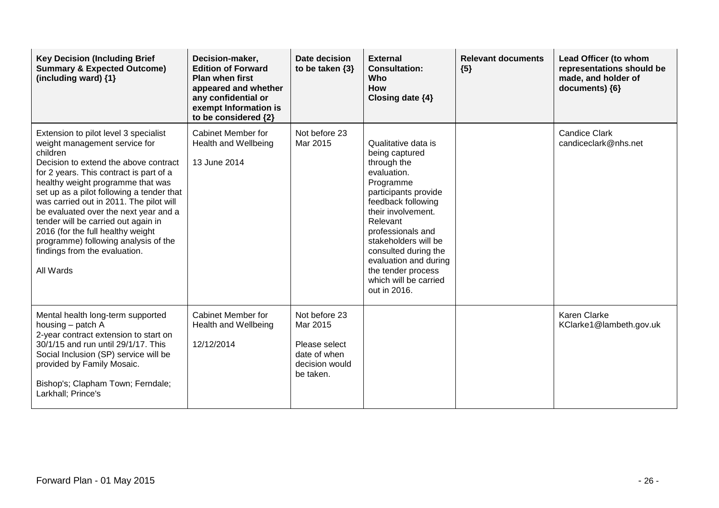| <b>Key Decision (Including Brief</b><br><b>Summary &amp; Expected Outcome)</b><br>(including ward) $\{1\}$                                                                                                                                                                                                                                                                                                                                                                                                     | Decision-maker,<br><b>Edition of Forward</b><br><b>Plan when first</b><br>appeared and whether<br>any confidential or<br>exempt Information is<br>to be considered {2} | Date decision<br>to be taken $\{3\}$                                                      | <b>External</b><br><b>Consultation:</b><br>Who<br><b>How</b><br>Closing date {4}                                                                                                                                                                                                                                              | <b>Relevant documents</b><br>${5}$ | Lead Officer (to whom<br>representations should be<br>made, and holder of<br>documents) ${6}$ |
|----------------------------------------------------------------------------------------------------------------------------------------------------------------------------------------------------------------------------------------------------------------------------------------------------------------------------------------------------------------------------------------------------------------------------------------------------------------------------------------------------------------|------------------------------------------------------------------------------------------------------------------------------------------------------------------------|-------------------------------------------------------------------------------------------|-------------------------------------------------------------------------------------------------------------------------------------------------------------------------------------------------------------------------------------------------------------------------------------------------------------------------------|------------------------------------|-----------------------------------------------------------------------------------------------|
| Extension to pilot level 3 specialist<br>weight management service for<br>children<br>Decision to extend the above contract<br>for 2 years. This contract is part of a<br>healthy weight programme that was<br>set up as a pilot following a tender that<br>was carried out in 2011. The pilot will<br>be evaluated over the next year and a<br>tender will be carried out again in<br>2016 (for the full healthy weight<br>programme) following analysis of the<br>findings from the evaluation.<br>All Wards | Cabinet Member for<br>Health and Wellbeing<br>13 June 2014                                                                                                             | Not before 23<br>Mar 2015                                                                 | Qualitative data is<br>being captured<br>through the<br>evaluation.<br>Programme<br>participants provide<br>feedback following<br>their involvement.<br>Relevant<br>professionals and<br>stakeholders will be<br>consulted during the<br>evaluation and during<br>the tender process<br>which will be carried<br>out in 2016. |                                    | <b>Candice Clark</b><br>candiceclark@nhs.net                                                  |
| Mental health long-term supported<br>housing - patch A<br>2-year contract extension to start on<br>30/1/15 and run until 29/1/17. This<br>Social Inclusion (SP) service will be<br>provided by Family Mosaic.<br>Bishop's; Clapham Town; Ferndale;<br>Larkhall; Prince's                                                                                                                                                                                                                                       | Cabinet Member for<br>Health and Wellbeing<br>12/12/2014                                                                                                               | Not before 23<br>Mar 2015<br>Please select<br>date of when<br>decision would<br>be taken. |                                                                                                                                                                                                                                                                                                                               |                                    | Karen Clarke<br>KClarke1@lambeth.gov.uk                                                       |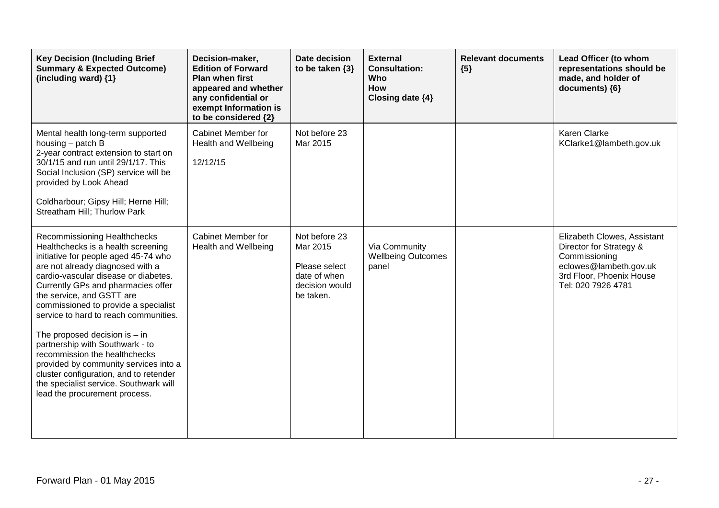| <b>Key Decision (Including Brief</b><br><b>Summary &amp; Expected Outcome)</b><br>(including ward) $\{1\}$                                                                                                                                                                                                                                                                                                                                                                                                                                                                                                      | Decision-maker,<br><b>Edition of Forward</b><br><b>Plan when first</b><br>appeared and whether<br>any confidential or<br>exempt Information is<br>to be considered {2} | Date decision<br>to be taken $\{3\}$                                                      | <b>External</b><br><b>Consultation:</b><br><b>Who</b><br>How<br>Closing date {4} | <b>Relevant documents</b><br>${5}$ | Lead Officer (to whom<br>representations should be<br>made, and holder of<br>documents) {6}                                                         |
|-----------------------------------------------------------------------------------------------------------------------------------------------------------------------------------------------------------------------------------------------------------------------------------------------------------------------------------------------------------------------------------------------------------------------------------------------------------------------------------------------------------------------------------------------------------------------------------------------------------------|------------------------------------------------------------------------------------------------------------------------------------------------------------------------|-------------------------------------------------------------------------------------------|----------------------------------------------------------------------------------|------------------------------------|-----------------------------------------------------------------------------------------------------------------------------------------------------|
| Mental health long-term supported<br>housing - patch B<br>2-year contract extension to start on<br>30/1/15 and run until 29/1/17. This<br>Social Inclusion (SP) service will be<br>provided by Look Ahead<br>Coldharbour; Gipsy Hill; Herne Hill;<br>Streatham Hill; Thurlow Park                                                                                                                                                                                                                                                                                                                               | <b>Cabinet Member for</b><br>Health and Wellbeing<br>12/12/15                                                                                                          | Not before 23<br>Mar 2015                                                                 |                                                                                  |                                    | <b>Karen Clarke</b><br>KClarke1@lambeth.gov.uk                                                                                                      |
| Recommissioning Healthchecks<br>Healthchecks is a health screening<br>initiative for people aged 45-74 who<br>are not already diagnosed with a<br>cardio-vascular disease or diabetes.<br>Currently GPs and pharmacies offer<br>the service, and GSTT are<br>commissioned to provide a specialist<br>service to hard to reach communities.<br>The proposed decision is $-$ in<br>partnership with Southwark - to<br>recommission the healthchecks<br>provided by community services into a<br>cluster configuration, and to retender<br>the specialist service. Southwark will<br>lead the procurement process. | Cabinet Member for<br><b>Health and Wellbeing</b>                                                                                                                      | Not before 23<br>Mar 2015<br>Please select<br>date of when<br>decision would<br>be taken. | Via Community<br><b>Wellbeing Outcomes</b><br>panel                              |                                    | Elizabeth Clowes, Assistant<br>Director for Strategy &<br>Commissioning<br>eclowes@lambeth.gov.uk<br>3rd Floor, Phoenix House<br>Tel: 020 7926 4781 |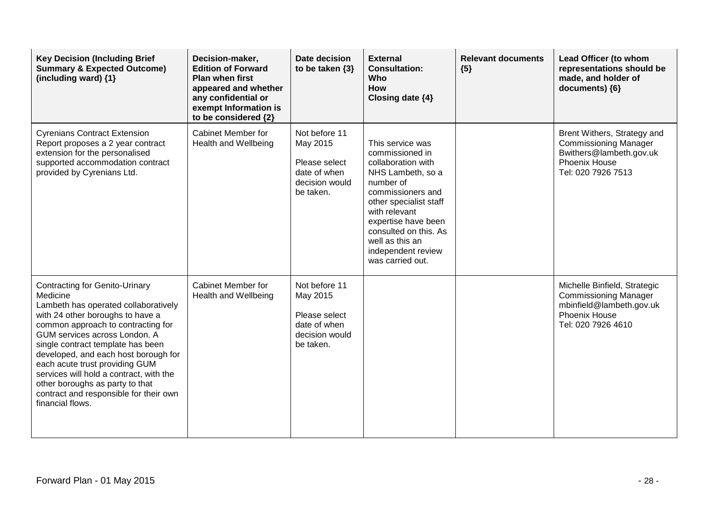| <b>Key Decision (Including Brief</b><br><b>Summary &amp; Expected Outcome)</b><br>(including ward) $\{1\}$                                                                                                                                                                                                                                                                                                                                                      | Decision-maker,<br><b>Edition of Forward</b><br><b>Plan when first</b><br>appeared and whether<br>any confidential or<br>exempt Information is<br>to be considered {2} | Date decision<br>to be taken $\{3\}$                                                      | <b>External</b><br><b>Consultation:</b><br><b>Who</b><br>How<br>Closing date {4}                                                                                                                                                                                         | <b>Relevant documents</b><br>${5}$ | Lead Officer (to whom<br>representations should be<br>made, and holder of<br>documents) {6}                                            |
|-----------------------------------------------------------------------------------------------------------------------------------------------------------------------------------------------------------------------------------------------------------------------------------------------------------------------------------------------------------------------------------------------------------------------------------------------------------------|------------------------------------------------------------------------------------------------------------------------------------------------------------------------|-------------------------------------------------------------------------------------------|--------------------------------------------------------------------------------------------------------------------------------------------------------------------------------------------------------------------------------------------------------------------------|------------------------------------|----------------------------------------------------------------------------------------------------------------------------------------|
| <b>Cyrenians Contract Extension</b><br>Report proposes a 2 year contract<br>extension for the personalised<br>supported accommodation contract<br>provided by Cyrenians Ltd.                                                                                                                                                                                                                                                                                    | <b>Cabinet Member for</b><br>Health and Wellbeing                                                                                                                      | Not before 11<br>May 2015<br>Please select<br>date of when<br>decision would<br>be taken. | This service was<br>commissioned in<br>collaboration with<br>NHS Lambeth, so a<br>number of<br>commissioners and<br>other specialist staff<br>with relevant<br>expertise have been<br>consulted on this. As<br>well as this an<br>independent review<br>was carried out. |                                    | Brent Withers, Strategy and<br><b>Commissioning Manager</b><br>Bwithers@lambeth.gov.uk<br>Phoenix House<br>Tel: 020 7926 7513          |
| <b>Contracting for Genito-Urinary</b><br>Medicine<br>Lambeth has operated collaboratively<br>with 24 other boroughs to have a<br>common approach to contracting for<br>GUM services across London. A<br>single contract template has been<br>developed, and each host borough for<br>each acute trust providing GUM<br>services will hold a contract, with the<br>other boroughs as party to that<br>contract and responsible for their own<br>financial flows. | <b>Cabinet Member for</b><br>Health and Wellbeing                                                                                                                      | Not before 11<br>May 2015<br>Please select<br>date of when<br>decision would<br>be taken. |                                                                                                                                                                                                                                                                          |                                    | Michelle Binfield, Strategic<br><b>Commissioning Manager</b><br>mbinfield@lambeth.gov.uk<br><b>Phoenix House</b><br>Tel: 020 7926 4610 |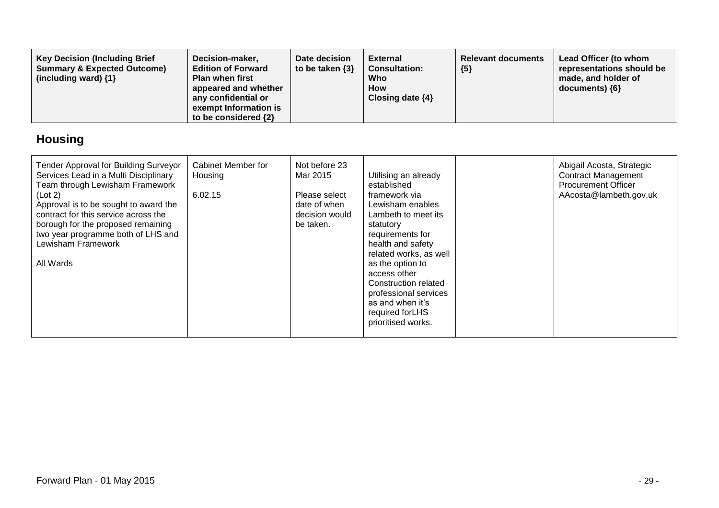| <b>Key Decision (Including Brief</b><br><b>Summary &amp; Expected Outcome)</b><br>(including ward) $\{1\}$ | Decision-maker,<br><b>Edition of Forward</b><br><b>Plan when first</b><br>appeared and whether<br>any confidential or<br>exempt Information is<br>to be considered {2} | Date decision<br>to be taken $\{3\}$ | External<br><b>Consultation:</b><br>Who<br><b>How</b><br>Closing date $\{4\}$ | <b>Relevant documents</b><br>${5}$ | Lead Officer (to whom<br>representations should be<br>made, and holder of<br>documents) {6} |
|------------------------------------------------------------------------------------------------------------|------------------------------------------------------------------------------------------------------------------------------------------------------------------------|--------------------------------------|-------------------------------------------------------------------------------|------------------------------------|---------------------------------------------------------------------------------------------|
|------------------------------------------------------------------------------------------------------------|------------------------------------------------------------------------------------------------------------------------------------------------------------------------|--------------------------------------|-------------------------------------------------------------------------------|------------------------------------|---------------------------------------------------------------------------------------------|

# **Housing**

| Tender Approval for Building Surveyor<br>Services Lead in a Multi Disciplinary<br>Team through Lewisham Framework<br>(Lot 2)<br>Approval is to be sought to award the<br>contract for this service across the<br>borough for the proposed remaining<br>two year programme both of LHS and<br>Lewisham Framework<br>All Wards | Cabinet Member for<br>Housing<br>6.02.15 | Not before 23<br>Mar 2015<br>Please select<br>date of when<br>decision would<br>be taken. | Utilising an already<br>established<br>framework via<br>Lewisham enables<br>Lambeth to meet its<br>statutory<br>requirements for<br>health and safety<br>related works, as well<br>as the option to<br>access other<br>Construction related<br>professional services<br>as and when it's<br>required forLHS<br>prioritised works. | Abigail Acosta, Strategic<br><b>Contract Management</b><br><b>Procurement Officer</b><br>AAcosta@lambeth.gov.uk |
|------------------------------------------------------------------------------------------------------------------------------------------------------------------------------------------------------------------------------------------------------------------------------------------------------------------------------|------------------------------------------|-------------------------------------------------------------------------------------------|-----------------------------------------------------------------------------------------------------------------------------------------------------------------------------------------------------------------------------------------------------------------------------------------------------------------------------------|-----------------------------------------------------------------------------------------------------------------|
|                                                                                                                                                                                                                                                                                                                              |                                          |                                                                                           |                                                                                                                                                                                                                                                                                                                                   |                                                                                                                 |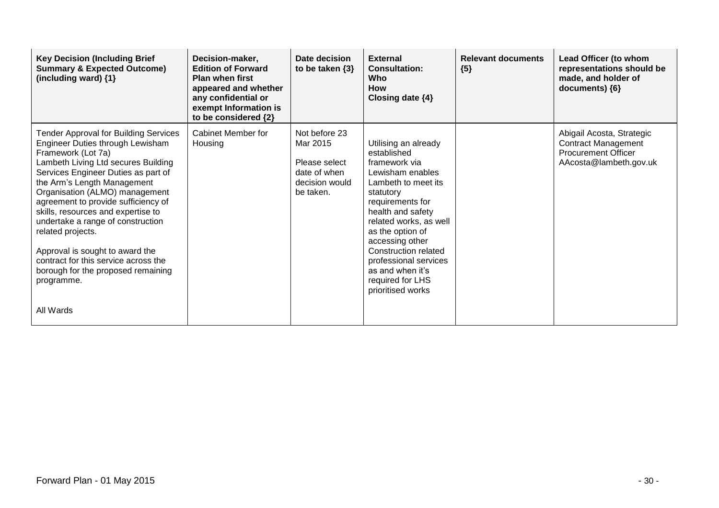| <b>Key Decision (Including Brief</b><br><b>Summary &amp; Expected Outcome)</b><br>(including ward) {1}                                                                                                                                                                                                                                                                                                                                                                                                                                   | Decision-maker,<br><b>Edition of Forward</b><br><b>Plan when first</b><br>appeared and whether<br>any confidential or<br>exempt Information is<br>to be considered {2} | Date decision<br>to be taken $\{3\}$                                                      | <b>External</b><br><b>Consultation:</b><br>Who<br><b>How</b><br>Closing date $\{4\}$                                                                                                                                                                                                                                                        | <b>Relevant documents</b><br>${5}$ | Lead Officer (to whom<br>representations should be<br>made, and holder of<br>documents) {6}                     |
|------------------------------------------------------------------------------------------------------------------------------------------------------------------------------------------------------------------------------------------------------------------------------------------------------------------------------------------------------------------------------------------------------------------------------------------------------------------------------------------------------------------------------------------|------------------------------------------------------------------------------------------------------------------------------------------------------------------------|-------------------------------------------------------------------------------------------|---------------------------------------------------------------------------------------------------------------------------------------------------------------------------------------------------------------------------------------------------------------------------------------------------------------------------------------------|------------------------------------|-----------------------------------------------------------------------------------------------------------------|
| <b>Tender Approval for Building Services</b><br>Engineer Duties through Lewisham<br>Framework (Lot 7a)<br>Lambeth Living Ltd secures Building<br>Services Engineer Duties as part of<br>the Arm's Length Management<br>Organisation (ALMO) management<br>agreement to provide sufficiency of<br>skills, resources and expertise to<br>undertake a range of construction<br>related projects.<br>Approval is sought to award the<br>contract for this service across the<br>borough for the proposed remaining<br>programme.<br>All Wards | Cabinet Member for<br>Housing                                                                                                                                          | Not before 23<br>Mar 2015<br>Please select<br>date of when<br>decision would<br>be taken. | Utilising an already<br>established<br>framework via<br>Lewisham enables<br>Lambeth to meet its<br>statutory<br>requirements for<br>health and safety<br>related works, as well<br>as the option of<br>accessing other<br><b>Construction related</b><br>professional services<br>as and when it's<br>required for LHS<br>prioritised works |                                    | Abigail Acosta, Strategic<br><b>Contract Management</b><br><b>Procurement Officer</b><br>AAcosta@lambeth.gov.uk |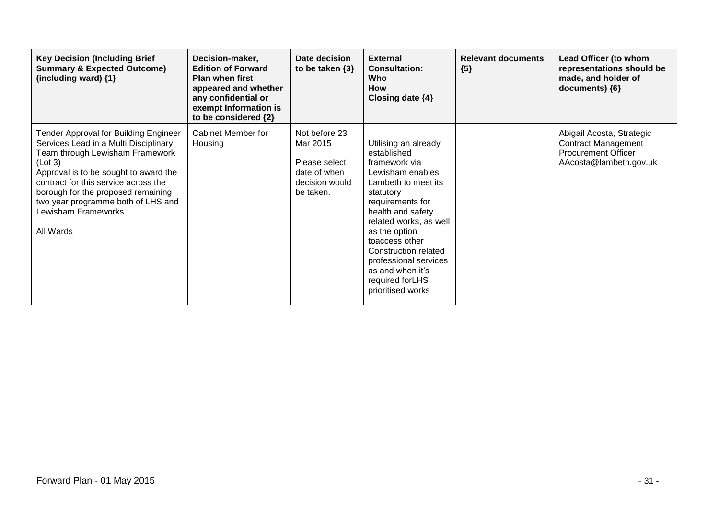| <b>Key Decision (Including Brief</b><br><b>Summary &amp; Expected Outcome)</b><br>(including ward) {1}                                                                                                                                                                                                                        | Decision-maker,<br><b>Edition of Forward</b><br><b>Plan when first</b><br>appeared and whether<br>any confidential or<br>exempt Information is<br>to be considered {2} | Date decision<br>to be taken $\{3\}$                                                      | <b>External</b><br><b>Consultation:</b><br>Who<br><b>How</b><br>Closing date $\{4\}$                                                                                                                                                                                                                                             | <b>Relevant documents</b><br>${5}$ | Lead Officer (to whom<br>representations should be<br>made, and holder of<br>documents) ${6}$                   |
|-------------------------------------------------------------------------------------------------------------------------------------------------------------------------------------------------------------------------------------------------------------------------------------------------------------------------------|------------------------------------------------------------------------------------------------------------------------------------------------------------------------|-------------------------------------------------------------------------------------------|----------------------------------------------------------------------------------------------------------------------------------------------------------------------------------------------------------------------------------------------------------------------------------------------------------------------------------|------------------------------------|-----------------------------------------------------------------------------------------------------------------|
| Tender Approval for Building Engineer<br>Services Lead in a Multi Disciplinary<br>Team through Lewisham Framework<br>(Lot 3)<br>Approval is to be sought to award the<br>contract for this service across the<br>borough for the proposed remaining<br>two year programme both of LHS and<br>Lewisham Frameworks<br>All Wards | Cabinet Member for<br>Housing                                                                                                                                          | Not before 23<br>Mar 2015<br>Please select<br>date of when<br>decision would<br>be taken. | Utilising an already<br>established<br>framework via<br>Lewisham enables<br>Lambeth to meet its<br>statutory<br>requirements for<br>health and safety<br>related works, as well<br>as the option<br>toaccess other<br>Construction related<br>professional services<br>as and when it's<br>required for LHS<br>prioritised works |                                    | Abigail Acosta, Strategic<br><b>Contract Management</b><br><b>Procurement Officer</b><br>AAcosta@lambeth.gov.uk |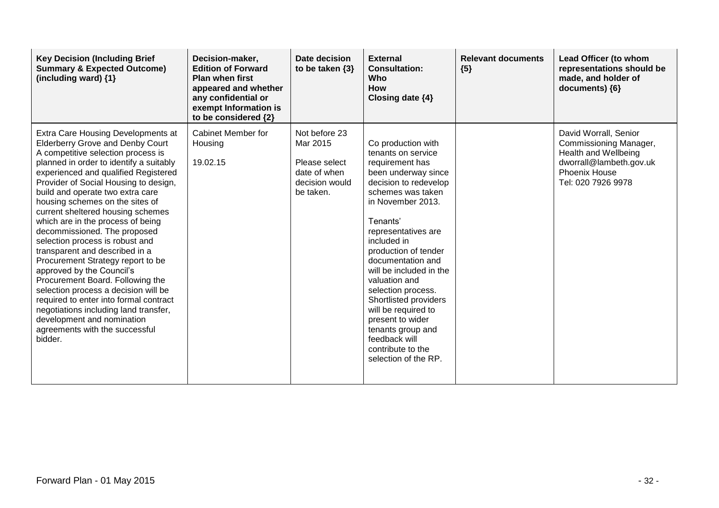| <b>Key Decision (Including Brief</b><br><b>Summary &amp; Expected Outcome)</b><br>(including ward) $\{1\}$                                                                                                                                                                                                                                                                                                                                                                                                                                                                                                                                                                                                                                                                                                        | Decision-maker,<br><b>Edition of Forward</b><br><b>Plan when first</b><br>appeared and whether<br>any confidential or<br>exempt Information is<br>to be considered {2} | Date decision<br>to be taken $\{3\}$                                                      | <b>External</b><br><b>Consultation:</b><br>Who<br><b>How</b><br>Closing date $\{4\}$                                                                                                                                                                                                                                                                                                                                                                                          | <b>Relevant documents</b><br>${5}$ | Lead Officer (to whom<br>representations should be<br>made, and holder of<br>documents) {6}                                               |
|-------------------------------------------------------------------------------------------------------------------------------------------------------------------------------------------------------------------------------------------------------------------------------------------------------------------------------------------------------------------------------------------------------------------------------------------------------------------------------------------------------------------------------------------------------------------------------------------------------------------------------------------------------------------------------------------------------------------------------------------------------------------------------------------------------------------|------------------------------------------------------------------------------------------------------------------------------------------------------------------------|-------------------------------------------------------------------------------------------|-------------------------------------------------------------------------------------------------------------------------------------------------------------------------------------------------------------------------------------------------------------------------------------------------------------------------------------------------------------------------------------------------------------------------------------------------------------------------------|------------------------------------|-------------------------------------------------------------------------------------------------------------------------------------------|
| Extra Care Housing Developments at<br><b>Elderberry Grove and Denby Court</b><br>A competitive selection process is<br>planned in order to identify a suitably<br>experienced and qualified Registered<br>Provider of Social Housing to design,<br>build and operate two extra care<br>housing schemes on the sites of<br>current sheltered housing schemes<br>which are in the process of being<br>decommissioned. The proposed<br>selection process is robust and<br>transparent and described in a<br>Procurement Strategy report to be<br>approved by the Council's<br>Procurement Board. Following the<br>selection process a decision will be<br>required to enter into formal contract<br>negotiations including land transfer,<br>development and nomination<br>agreements with the successful<br>bidder. | Cabinet Member for<br>Housing<br>19.02.15                                                                                                                              | Not before 23<br>Mar 2015<br>Please select<br>date of when<br>decision would<br>be taken. | Co production with<br>tenants on service<br>requirement has<br>been underway since<br>decision to redevelop<br>schemes was taken<br>in November 2013.<br>Tenants'<br>representatives are<br>included in<br>production of tender<br>documentation and<br>will be included in the<br>valuation and<br>selection process.<br>Shortlisted providers<br>will be required to<br>present to wider<br>tenants group and<br>feedback will<br>contribute to the<br>selection of the RP. |                                    | David Worrall, Senior<br>Commissioning Manager,<br>Health and Wellbeing<br>dworrall@lambeth.gov.uk<br>Phoenix House<br>Tel: 020 7926 9978 |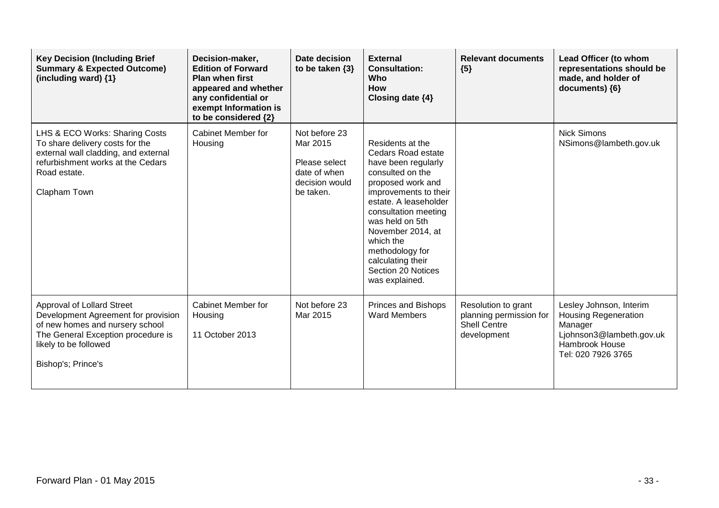| <b>Key Decision (Including Brief</b><br><b>Summary &amp; Expected Outcome)</b><br>(including ward) $\{1\}$                                                                                       | Decision-maker,<br><b>Edition of Forward</b><br><b>Plan when first</b><br>appeared and whether<br>any confidential or<br>exempt Information is<br>to be considered {2} | Date decision<br>to be taken $\{3\}$                                                      | <b>External</b><br><b>Consultation:</b><br>Who<br>How<br>Closing date {4}                                                                                                                                                                                                                                             | <b>Relevant documents</b><br>${5}$                                                   | Lead Officer (to whom<br>representations should be<br>made, and holder of<br>documents) {6}                                           |
|--------------------------------------------------------------------------------------------------------------------------------------------------------------------------------------------------|------------------------------------------------------------------------------------------------------------------------------------------------------------------------|-------------------------------------------------------------------------------------------|-----------------------------------------------------------------------------------------------------------------------------------------------------------------------------------------------------------------------------------------------------------------------------------------------------------------------|--------------------------------------------------------------------------------------|---------------------------------------------------------------------------------------------------------------------------------------|
| LHS & ECO Works: Sharing Costs<br>To share delivery costs for the<br>external wall cladding, and external<br>refurbishment works at the Cedars<br>Road estate.<br>Clapham Town                   | Cabinet Member for<br>Housing                                                                                                                                          | Not before 23<br>Mar 2015<br>Please select<br>date of when<br>decision would<br>be taken. | Residents at the<br>Cedars Road estate<br>have been regularly<br>consulted on the<br>proposed work and<br>improvements to their<br>estate. A leaseholder<br>consultation meeting<br>was held on 5th<br>November 2014, at<br>which the<br>methodology for<br>calculating their<br>Section 20 Notices<br>was explained. |                                                                                      | <b>Nick Simons</b><br>NSimons@lambeth.gov.uk                                                                                          |
| <b>Approval of Lollard Street</b><br>Development Agreement for provision<br>of new homes and nursery school<br>The General Exception procedure is<br>likely to be followed<br>Bishop's; Prince's | <b>Cabinet Member for</b><br>Housing<br>11 October 2013                                                                                                                | Not before 23<br>Mar 2015                                                                 | <b>Princes and Bishops</b><br><b>Ward Members</b>                                                                                                                                                                                                                                                                     | Resolution to grant<br>planning permission for<br><b>Shell Centre</b><br>development | Lesley Johnson, Interim<br><b>Housing Regeneration</b><br>Manager<br>Ljohnson3@lambeth.gov.uk<br>Hambrook House<br>Tel: 020 7926 3765 |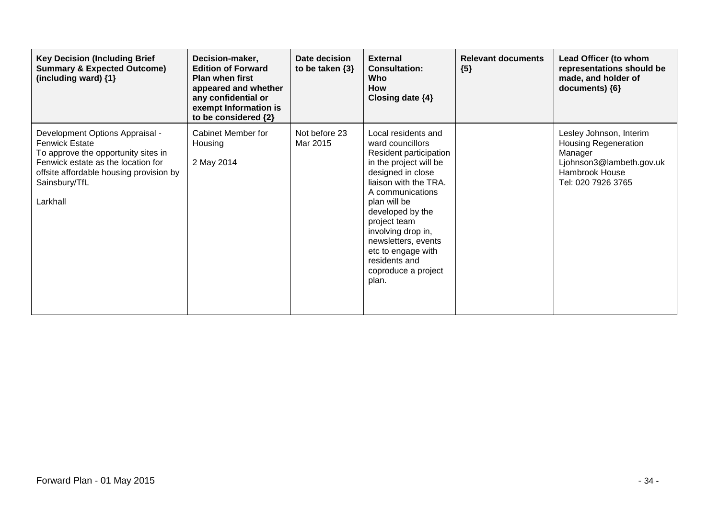| <b>Key Decision (Including Brief</b><br><b>Summary &amp; Expected Outcome)</b><br>(including ward) {1}                                                                                                        | Decision-maker,<br><b>Edition of Forward</b><br><b>Plan when first</b><br>appeared and whether<br>any confidential or<br>exempt Information is<br>to be considered {2} | <b>Date decision</b><br>to be taken $\{3\}$ | <b>External</b><br><b>Consultation:</b><br>Who<br><b>How</b><br>Closing date $\{4\}$                                                                                                                                                                                                                                                  | <b>Relevant documents</b><br>${5}$ | Lead Officer (to whom<br>representations should be<br>made, and holder of<br>documents) {6}                                           |
|---------------------------------------------------------------------------------------------------------------------------------------------------------------------------------------------------------------|------------------------------------------------------------------------------------------------------------------------------------------------------------------------|---------------------------------------------|---------------------------------------------------------------------------------------------------------------------------------------------------------------------------------------------------------------------------------------------------------------------------------------------------------------------------------------|------------------------------------|---------------------------------------------------------------------------------------------------------------------------------------|
| Development Options Appraisal -<br><b>Fenwick Estate</b><br>To approve the opportunity sites in<br>Fenwick estate as the location for<br>offsite affordable housing provision by<br>Sainsbury/TfL<br>Larkhall | Cabinet Member for<br>Housing<br>2 May 2014                                                                                                                            | Not before 23<br>Mar 2015                   | Local residents and<br>ward councillors<br>Resident participation<br>in the project will be<br>designed in close<br>liaison with the TRA.<br>A communications<br>plan will be<br>developed by the<br>project team<br>involving drop in,<br>newsletters, events<br>etc to engage with<br>residents and<br>coproduce a project<br>plan. |                                    | Lesley Johnson, Interim<br><b>Housing Regeneration</b><br>Manager<br>Ljohnson3@lambeth.gov.uk<br>Hambrook House<br>Tel: 020 7926 3765 |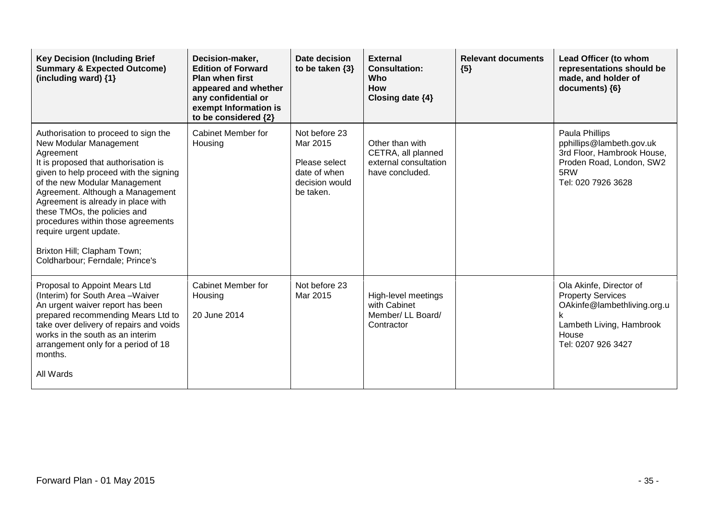| <b>Key Decision (Including Brief</b><br><b>Summary &amp; Expected Outcome)</b><br>(including ward) {1}                                                                                                                                                                                                                                                                                                                                     | Decision-maker,<br><b>Edition of Forward</b><br><b>Plan when first</b><br>appeared and whether<br>any confidential or<br>exempt Information is<br>to be considered {2} | Date decision<br>to be taken $\{3\}$                                                      | <b>External</b><br><b>Consultation:</b><br>Who<br><b>How</b><br>Closing date {4}  | <b>Relevant documents</b><br>${5}$ | Lead Officer (to whom<br>representations should be<br>made, and holder of<br>documents) {6}                                                        |
|--------------------------------------------------------------------------------------------------------------------------------------------------------------------------------------------------------------------------------------------------------------------------------------------------------------------------------------------------------------------------------------------------------------------------------------------|------------------------------------------------------------------------------------------------------------------------------------------------------------------------|-------------------------------------------------------------------------------------------|-----------------------------------------------------------------------------------|------------------------------------|----------------------------------------------------------------------------------------------------------------------------------------------------|
| Authorisation to proceed to sign the<br>New Modular Management<br>Agreement<br>It is proposed that authorisation is<br>given to help proceed with the signing<br>of the new Modular Management<br>Agreement. Although a Management<br>Agreement is already in place with<br>these TMOs, the policies and<br>procedures within those agreements<br>require urgent update.<br>Brixton Hill; Clapham Town;<br>Coldharbour; Ferndale; Prince's | Cabinet Member for<br>Housing                                                                                                                                          | Not before 23<br>Mar 2015<br>Please select<br>date of when<br>decision would<br>be taken. | Other than with<br>CETRA, all planned<br>external consultation<br>have concluded. |                                    | Paula Phillips<br>pphillips@lambeth.gov.uk<br>3rd Floor, Hambrook House,<br>Proden Road, London, SW2<br>5RW<br>Tel: 020 7926 3628                  |
| Proposal to Appoint Mears Ltd<br>(Interim) for South Area - Waiver<br>An urgent waiver report has been<br>prepared recommending Mears Ltd to<br>take over delivery of repairs and voids<br>works in the south as an interim<br>arrangement only for a period of 18<br>months.<br>All Wards                                                                                                                                                 | <b>Cabinet Member for</b><br>Housing<br>20 June 2014                                                                                                                   | Not before 23<br>Mar 2015                                                                 | High-level meetings<br>with Cabinet<br>Member/ LL Board/<br>Contractor            |                                    | Ola Akinfe, Director of<br><b>Property Services</b><br>OAkinfe@lambethliving.org.u<br>k<br>Lambeth Living, Hambrook<br>House<br>Tel: 0207 926 3427 |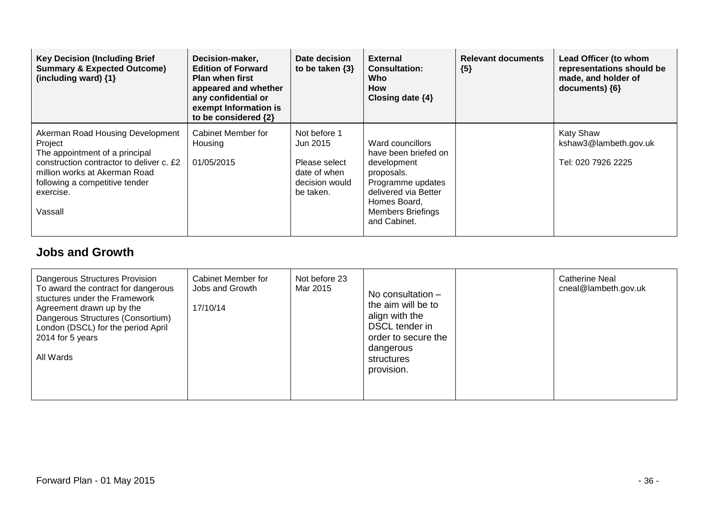| <b>Key Decision (Including Brief</b><br><b>Summary &amp; Expected Outcome)</b><br>(including ward) $\{1\}$                                                                                                           | Decision-maker,<br><b>Edition of Forward</b><br><b>Plan when first</b><br>appeared and whether<br>any confidential or<br>exempt Information is<br>to be considered {2} | Date decision<br>to be taken $\{3\}$                                                     | <b>External</b><br><b>Consultation:</b><br>Who<br><b>How</b><br>Closing date {4}                                                                                               | <b>Relevant documents</b><br>${5}$ | Lead Officer (to whom<br>representations should be<br>made, and holder of<br>$documents)$ {6} |
|----------------------------------------------------------------------------------------------------------------------------------------------------------------------------------------------------------------------|------------------------------------------------------------------------------------------------------------------------------------------------------------------------|------------------------------------------------------------------------------------------|--------------------------------------------------------------------------------------------------------------------------------------------------------------------------------|------------------------------------|-----------------------------------------------------------------------------------------------|
| Akerman Road Housing Development<br>Project<br>The appointment of a principal<br>construction contractor to deliver c. £2<br>million works at Akerman Road<br>following a competitive tender<br>exercise.<br>Vassall | Cabinet Member for<br>Housing<br>01/05/2015                                                                                                                            | Not before 1<br>Jun 2015<br>Please select<br>date of when<br>decision would<br>be taken. | Ward councillors<br>have been briefed on<br>development<br>proposals.<br>Programme updates<br>delivered via Better<br>Homes Board,<br><b>Members Briefings</b><br>and Cabinet. |                                    | <b>Katy Shaw</b><br>kshaw3@lambeth.gov.uk<br>Tel: 020 7926 2225                               |

## **Jobs and Growth**

| <b>Dangerous Structures Provision</b><br>To award the contract for dangerous<br>stuctures under the Framework<br>Agreement drawn up by the<br>Dangerous Structures (Consortium)<br>London (DSCL) for the period April<br>2014 for 5 years<br>All Wards | Cabinet Member for<br>Jobs and Growth<br>17/10/14 | Not before 23<br>Mar 2015 | No consultation $-$<br>the aim will be to<br>align with the<br>DSCL tender in<br>order to secure the<br>dangerous<br>structures<br>provision. |  | <b>Catherine Neal</b><br>cneal@lambeth.gov.uk |
|--------------------------------------------------------------------------------------------------------------------------------------------------------------------------------------------------------------------------------------------------------|---------------------------------------------------|---------------------------|-----------------------------------------------------------------------------------------------------------------------------------------------|--|-----------------------------------------------|
|--------------------------------------------------------------------------------------------------------------------------------------------------------------------------------------------------------------------------------------------------------|---------------------------------------------------|---------------------------|-----------------------------------------------------------------------------------------------------------------------------------------------|--|-----------------------------------------------|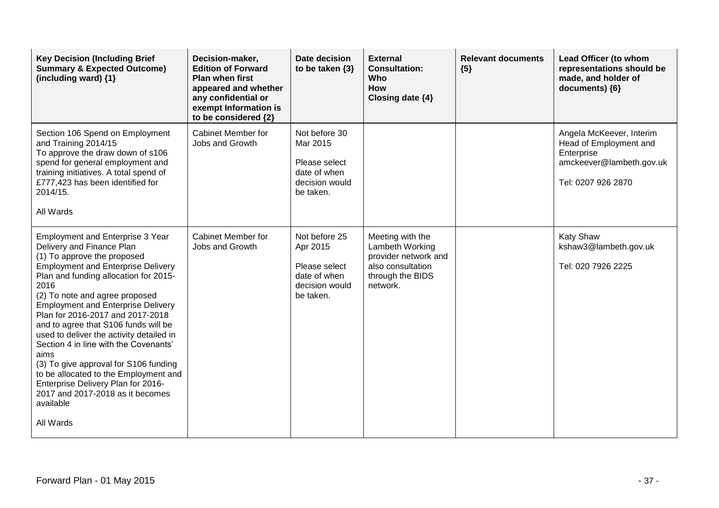| <b>Key Decision (Including Brief</b><br><b>Summary &amp; Expected Outcome)</b><br>(including ward) $\{1\}$                                                                                                                                                                                                                                                                                                                                                                                                                                                                                                                               | Decision-maker,<br><b>Edition of Forward</b><br><b>Plan when first</b><br>appeared and whether<br>any confidential or<br>exempt Information is<br>to be considered {2} | Date decision<br>to be taken $\{3\}$                                                      | <b>External</b><br><b>Consultation:</b><br>Who<br>How<br>Closing date {4}                                        | <b>Relevant documents</b><br>${5}$ | Lead Officer (to whom<br>representations should be<br>made, and holder of<br>documents) {6}                        |
|------------------------------------------------------------------------------------------------------------------------------------------------------------------------------------------------------------------------------------------------------------------------------------------------------------------------------------------------------------------------------------------------------------------------------------------------------------------------------------------------------------------------------------------------------------------------------------------------------------------------------------------|------------------------------------------------------------------------------------------------------------------------------------------------------------------------|-------------------------------------------------------------------------------------------|------------------------------------------------------------------------------------------------------------------|------------------------------------|--------------------------------------------------------------------------------------------------------------------|
| Section 106 Spend on Employment<br>and Training 2014/15<br>To approve the draw down of s106<br>spend for general employment and<br>training initiatives. A total spend of<br>£777,423 has been identified for<br>2014/15.<br>All Wards                                                                                                                                                                                                                                                                                                                                                                                                   | <b>Cabinet Member for</b><br>Jobs and Growth                                                                                                                           | Not before 30<br>Mar 2015<br>Please select<br>date of when<br>decision would<br>be taken. |                                                                                                                  |                                    | Angela McKeever, Interim<br>Head of Employment and<br>Enterprise<br>amckeever@lambeth.gov.uk<br>Tel: 0207 926 2870 |
| Employment and Enterprise 3 Year<br>Delivery and Finance Plan<br>(1) To approve the proposed<br><b>Employment and Enterprise Delivery</b><br>Plan and funding allocation for 2015-<br>2016<br>(2) To note and agree proposed<br><b>Employment and Enterprise Delivery</b><br>Plan for 2016-2017 and 2017-2018<br>and to agree that S106 funds will be<br>used to deliver the activity detailed in<br>Section 4 in line with the Covenants'<br>aims<br>(3) To give approval for S106 funding<br>to be allocated to the Employment and<br>Enterprise Delivery Plan for 2016-<br>2017 and 2017-2018 as it becomes<br>available<br>All Wards | <b>Cabinet Member for</b><br>Jobs and Growth                                                                                                                           | Not before 25<br>Apr 2015<br>Please select<br>date of when<br>decision would<br>be taken. | Meeting with the<br>Lambeth Working<br>provider network and<br>also consultation<br>through the BIDS<br>network. |                                    | Katy Shaw<br>kshaw3@lambeth.gov.uk<br>Tel: 020 7926 2225                                                           |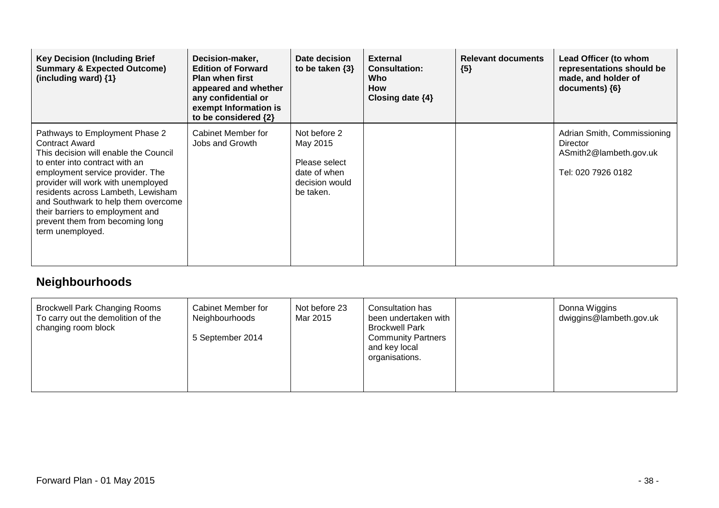| <b>Key Decision (Including Brief</b><br><b>Summary &amp; Expected Outcome)</b><br>(including ward) {1}                                                                                                                                                                                                                                                                               | Decision-maker,<br><b>Edition of Forward</b><br><b>Plan when first</b><br>appeared and whether<br>any confidential or<br>exempt Information is<br>to be considered {2} | Date decision<br>to be taken $\{3\}$                                                     | <b>External</b><br><b>Consultation:</b><br>Who<br>How<br>Closing date $\{4\}$ | <b>Relevant documents</b><br>${5}$ | Lead Officer (to whom<br>representations should be<br>made, and holder of<br>documents) ${6}$ |
|--------------------------------------------------------------------------------------------------------------------------------------------------------------------------------------------------------------------------------------------------------------------------------------------------------------------------------------------------------------------------------------|------------------------------------------------------------------------------------------------------------------------------------------------------------------------|------------------------------------------------------------------------------------------|-------------------------------------------------------------------------------|------------------------------------|-----------------------------------------------------------------------------------------------|
| Pathways to Employment Phase 2<br><b>Contract Award</b><br>This decision will enable the Council<br>to enter into contract with an<br>employment service provider. The<br>provider will work with unemployed<br>residents across Lambeth, Lewisham<br>and Southwark to help them overcome<br>their barriers to employment and<br>prevent them from becoming long<br>term unemployed. | Cabinet Member for<br>Jobs and Growth                                                                                                                                  | Not before 2<br>May 2015<br>Please select<br>date of when<br>decision would<br>be taken. |                                                                               |                                    | Adrian Smith, Commissioning<br>Director<br>ASmith2@lambeth.gov.uk<br>Tel: 020 7926 0182       |

## **Neighbourhoods**

| <b>Brockwell Park Changing Rooms</b><br>Not before 23<br>Cabinet Member for<br>To carry out the demolition of the<br>Mar 2015<br>Neighbourhoods<br>changing room block<br>5 September 2014 | Donna Wiggins<br>Consultation has<br>dwiggins@lambeth.gov.uk<br>been undertaken with<br><b>Brockwell Park</b><br><b>Community Partners</b><br>and key local<br>organisations. |  |
|--------------------------------------------------------------------------------------------------------------------------------------------------------------------------------------------|-------------------------------------------------------------------------------------------------------------------------------------------------------------------------------|--|
|--------------------------------------------------------------------------------------------------------------------------------------------------------------------------------------------|-------------------------------------------------------------------------------------------------------------------------------------------------------------------------------|--|